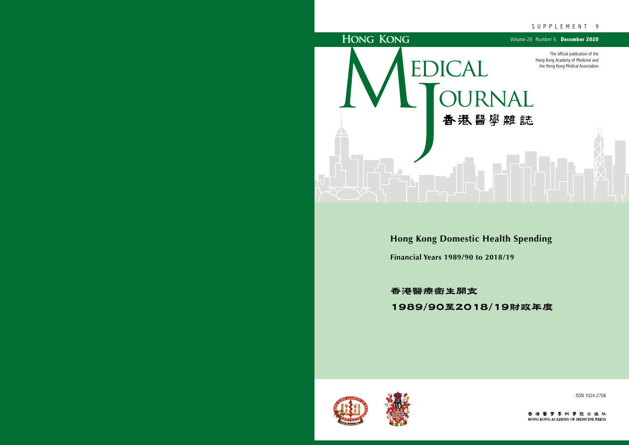

ISSN 1024-2708

香港醫學專科學院出版社 HONG KONG ACADEMY OF MEDICINE PRESS

# SUPPLEMENT 9

**Hong Kong Domestic Health Spending Financial Years 1989/90 to 2018/19**

香港醫療衞生開支 1989/90至2018/19財政年度



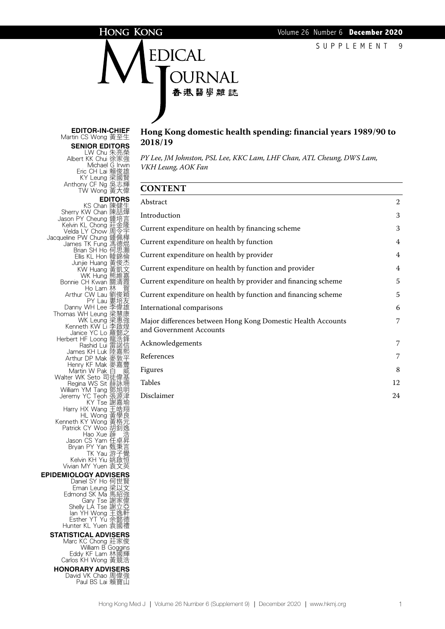# **HONG KONG**

EDICAL **JURNAL** 香港醫學雜誌

#### **Editor-in-Chief** Martin CS Wong 黃至生 **Senior Editors**

LW Chu 朱亮榮 Albert KK Chui 徐家強 Michael G Irwin Eric CH Lai 賴俊雄 KY Leung 梁國賢 Anthony CF Ng 吳志輝 TW Wong 黃大偉 **EDITORS**<br>han 陳健生 KS Chan Sherry KW Chan Jason PY Cheung 鍾培<br>Kelvin KL Chong 莊金 Kelvin KL Chong 莊金隆 Velda LY Chow 周令宇 **Jacqueline PW Chung 鍾佩樺<br>James TK Fung 馮德焜**<br>Brian SH Ho 何思灝 Ellis KL Hon 韓錦倫 Junjie Huang 黃俊杰 KW Huang 黃凱文 WK Hung 熊維嘉<br>Bonnie CH Kwan 關清霞 Ho Lam 林 賀 Arthur CW Lau 劉俊穎 PY Lau 婁培友 Danny WH Leung 梁惠強康<br>
WK Leung 梁惠強<br>
Kenneth KW Li 李啟煌<br>
Janice YC Lo 羅懿之<br>
Herbert HF Loong 龍浩幹<br>
Rashid Lui 雷諾<br>
Insp. KH Lui 桂諾區 Janice YC Lo 羅懿之 Herbert HF Loong 龍浩鋒<br>Rashid Lui 雷諾信 James KH Luk 陸嘉熙 Arthur DP Mak 麥敦平 Henry KF Mak 麥嘉豐 Martin W Pak 白 威 Walter WK Seto 司徒偉基 William YM Tang 鄧旭明<br>Jeremy YC Teoh 張源津 Jeremy YC Teoh 張源津 KY Tse 謝嘉瑜 Harry HX Wang 王皓翔<br>HL Wong 黃學良<br>Kenneth KY Wong 黃格元<br>Patrick CY Woo 胡釗逸 Hao Xue 薜 浩 Jason CS Yam 任卓昇 Bryan PY Yan 甄秉言 TK Yau 游子覺 Kelvin KH Yiu 姚啟恒 Vivian MY Yuen 袁文英 **Epidemiology Advisers** Daniel SY Ho 何世賢<br>Eman Leung 梁以文 Eman Leung 梁以文 Edmond SK Ma 馬紹強 Gary Tse 謝家偉<br>Shelly LA Tse 謝立亞 Ian YH Wong 王逸軒 Esther YT Yu 余懿德 Hunter KL Yuen 袁國禮 **Statistical Advisers** Marc KC Chong 莊家俊 William B Goggins<br>Eddy KF Lam 林國輝<br>Carlos KH Wong 黃競浩 **Honorary Advisers** David VK Chao 周偉強<br>Paul BS Lai 賴寶山

# **Hong Kong domestic health spending: financial years 1989/90 to 2018/19**

*PY Lee, JM Johnston, PSL Lee, KKC Lam, LHF Chan, ATL Cheung, DWS Lam, VKH Leung, AOK Fan*

## **CONTENT**

| Abstract                                                                                | $\overline{2}$ |
|-----------------------------------------------------------------------------------------|----------------|
| Introduction                                                                            | 3              |
| Current expenditure on health by financing scheme                                       | 3              |
| Current expenditure on health by function                                               | $\overline{4}$ |
| Current expenditure on health by provider                                               | $\overline{4}$ |
| Current expenditure on health by function and provider                                  | $\overline{4}$ |
| Current expenditure on health by provider and financing scheme                          | 5              |
| Current expenditure on health by function and financing scheme                          | 5              |
| International comparisons                                                               | 6              |
| Major differences between Hong Kong Domestic Health Accounts<br>and Government Accounts | 7              |
| Acknowledgements                                                                        | 7              |
| References                                                                              | 7              |
| Figures                                                                                 | 8              |
| <b>Tables</b>                                                                           | 12             |
| Disclaimer                                                                              | 24             |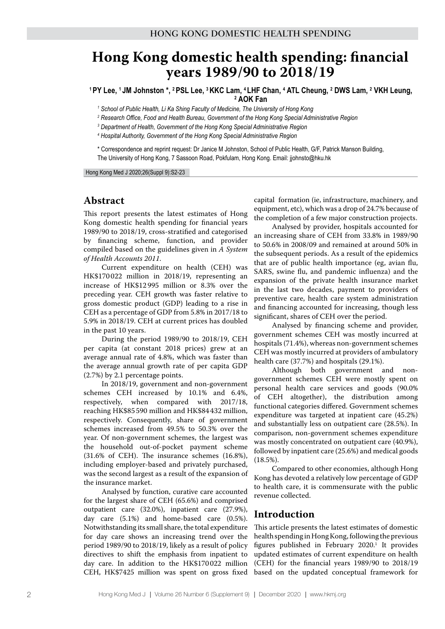# **Hong Kong domestic health spending: financial years 1989/90 to 2018/19**

<sup>1</sup> PY Lee, <sup>1</sup> JM Johnston \*, <sup>2</sup> PSL Lee, <sup>3</sup> KKC Lam, <sup>4</sup> LHF Chan, <sup>4</sup> ATL Cheung, <sup>2</sup> DWS Lam, <sup>2</sup> VKH Leung, **2 AOK Fan**

<sup>1</sup> School of Public Health, Li Ka Shing Faculty of Medicine, The University of Hong Kong

*2 Research Office, Food and Health Bureau, Government of the Hong Kong Special Administrative Region*

*3 Department of Health, Government of the Hong Kong Special Administrative Region*

<sup>4</sup> Hospital Authority, Government of the Hong Kong Special Administrative Region

\* Correspondence and reprint request: Dr Janice M Johnston, School of Public Health, G/F, Patrick Manson Building, The University of Hong Kong, 7 Sassoon Road, Pokfulam, Hong Kong. Email: jjohnsto@hku.hk

Hong Kong Med J 2020;26(Suppl 9):S2-23

# **Abstract**

This report presents the latest estimates of Hong Kong domestic health spending for financial years 1989/90 to 2018/19, cross-stratified and categorised by financing scheme, function, and provider compiled based on the guidelines given in *A System of Health Accounts 2011*.

Current expenditure on health (CEH) was HK\$170 022 million in 2018/19, representing an increase of HK\$12 995 million or 8.3% over the preceding year. CEH growth was faster relative to gross domestic product (GDP) leading to a rise in CEH as a percentage of GDP from 5.8% in 2017/18 to 5.9% in 2018/19. CEH at current prices has doubled in the past 10 years.

During the period 1989/90 to 2018/19, CEH per capita (at constant 2018 prices) grew at an average annual rate of 4.8%, which was faster than the average annual growth rate of per capita GDP (2.7%) by 2.1 percentage points.

In 2018/19, government and non-government schemes CEH increased by 10.1% and 6.4%, respectively, when compared with 2017/18, reaching HK\$85 590 million and HK\$84 432 million, respectively. Consequently, share of government schemes increased from 49.5% to 50.3% over the year. Of non-government schemes, the largest was the household out-of-pocket payment scheme (31.6% of CEH). The insurance schemes (16.8%), including employer-based and privately purchased, was the second largest as a result of the expansion of the insurance market.

Analysed by function, curative care accounted for the largest share of CEH (65.6%) and comprised outpatient care (32.0%), inpatient care (27.9%), day care (5.1%) and home-based care (0.5%). Notwithstanding its small share, the total expenditure for day care shows an increasing trend over the period 1989/90 to 2018/19, likely as a result of policy directives to shift the emphasis from inpatient to day care. In addition to the HK\$170022 million CEH, HK\$7425 million was spent on gross fixed

capital formation (ie, infrastructure, machinery, and equipment, etc), which was a drop of 24.7% because of the completion of a few major construction projects.

Analysed by provider, hospitals accounted for an increasing share of CEH from 33.8% in 1989/90 to 50.6% in 2008/09 and remained at around 50% in the subsequent periods. As a result of the epidemics that are of public health importance (eg, avian flu, SARS, swine flu, and pandemic influenza) and the expansion of the private health insurance market in the last two decades, payment to providers of preventive care, health care system administration and financing accounted for increasing, though less significant, shares of CEH over the period.

Analysed by financing scheme and provider, government schemes CEH was mostly incurred at hospitals (71.4%), whereas non-government schemes CEH was mostly incurred at providers of ambulatory health care (37.7%) and hospitals (29.1%).

Although both government and nongovernment schemes CEH were mostly spent on personal health care services and goods (90.0% of CEH altogether), the distribution among functional categories differed. Government schemes expenditure was targeted at inpatient care (45.2%) and substantially less on outpatient care (28.5%). In comparison, non-government schemes expenditure was mostly concentrated on outpatient care (40.9%), followed by inpatient care (25.6%) and medical goods (18.5%).

Compared to other economies, although Hong Kong has devoted a relatively low percentage of GDP to health care, it is commensurate with the public revenue collected.

# **Introduction**

This article presents the latest estimates of domestic health spending in Hong Kong, following the previous figures published in February 2020.<sup>1</sup> It provides updated estimates of current expenditure on health (CEH) for the financial years 1989/90 to 2018/19 based on the updated conceptual framework for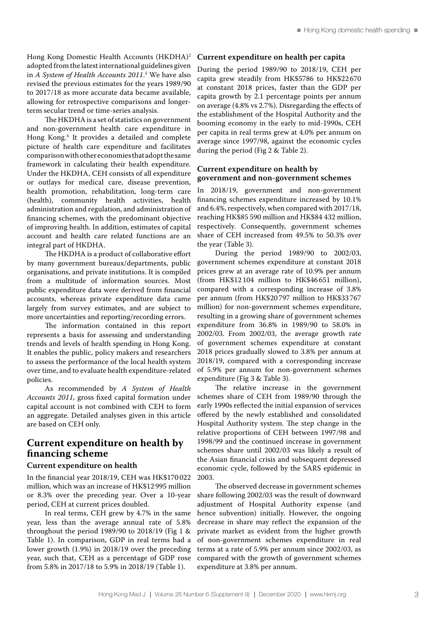Hong Kong Domestic Health Accounts (HKDHA)2 adopted from the latest international guidelines given in *A System of Health Accounts 2011*. 3 We have also revised the previous estimates for the years 1989/90 to 2017/18 as more accurate data became available, allowing for retrospective comparisons and longerterm secular trend or time-series analysis.

The HKDHA is a set of statistics on government and non-government health care expenditure in Hong Kong.4 It provides a detailed and complete picture of health care expenditure and facilitates comparison with other economies that adopt the same framework in calculating their health expenditure. Under the HKDHA, CEH consists of all expenditure or outlays for medical care, disease prevention, health promotion, rehabilitation, long-term care (health), community health activities, health administration and regulation, and administration of financing schemes, with the predominant objective of improving health. In addition, estimates of capital account and health care related functions are an integral part of HKDHA.

The HKDHA is a product of collaborative effort by many government bureaux/departments, public organisations, and private institutions. It is compiled from a multitude of information sources. Most public expenditure data were derived from financial accounts, whereas private expenditure data came largely from survey estimates, and are subject to more uncertainties and reporting/recording errors.

The information contained in this report represents a basis for assessing and understanding trends and levels of health spending in Hong Kong. It enables the public, policy makers and researchers to assess the performance of the local health system over time, and to evaluate health expenditure-related policies.

As recommended by *A System of Health Accounts 2011*, gross fixed capital formation under capital account is not combined with CEH to form an aggregate. Detailed analyses given in this article are based on CEH only.

# **Current expenditure on health by financing scheme**

#### **Current expenditure on health**

In the financial year 2018/19, CEH was HK\$170 022 million, which was an increase of HK\$12 995 million or 8.3% over the preceding year. Over a 10-year period, CEH at current prices doubled.

In real terms, CEH grew by 4.7% in the same year, less than the average annual rate of 5.8% throughout the period 1989/90 to 2018/19 (Fig 1 & Table 1). In comparison, GDP in real terms had a lower growth (1.9%) in 2018/19 over the preceding year, such that, CEH as a percentage of GDP rose from 5.8% in 2017/18 to 5.9% in 2018/19 (Table 1).

#### **Current expenditure on health per capita**

During the period 1989/90 to 2018/19, CEH per capita grew steadily from HK\$5786 to HK\$22 670 at constant 2018 prices, faster than the GDP per capita growth by 2.1 percentage points per annum on average (4.8% vs 2.7%). Disregarding the effects of the establishment of the Hospital Authority and the booming economy in the early to mid-1990s, CEH per capita in real terms grew at 4.0% per annum on average since 1997/98, against the economic cycles during the period (Fig 2 & Table 2).

### **Current expenditure on health by government and non-government schemes**

In 2018/19, government and non-government financing schemes expenditure increased by 10.1% and 6.4%, respectively, when compared with 2017/18, reaching HK\$85 590 million and HK\$84 432 million, respectively. Consequently, government schemes share of CEH increased from 49.5% to 50.3% over the year (Table 3).

During the period 1989/90 to 2002/03, government schemes expenditure at constant 2018 prices grew at an average rate of 10.9% per annum (from HK\$12 104 million to HK\$46 651 million), compared with a corresponding increase of 3.8% per annum (from HK\$20 797 million to HK\$33 767 million) for non-government schemes expenditure, resulting in a growing share of government schemes expenditure from 36.8% in 1989/90 to 58.0% in 2002/03. From 2002/03, the average growth rate of government schemes expenditure at constant 2018 prices gradually slowed to 3.8% per annum at 2018/19, compared with a corresponding increase of 5.9% per annum for non-government schemes expenditure (Fig 3 & Table 3).

The relative increase in the government schemes share of CEH from 1989/90 through the early 1990s reflected the initial expansion of services offered by the newly established and consolidated Hospital Authority system. The step change in the relative proportions of CEH between 1997/98 and 1998/99 and the continued increase in government schemes share until 2002/03 was likely a result of the Asian financial crisis and subsequent depressed economic cycle, followed by the SARS epidemic in 2003.

The observed decrease in government schemes share following 2002/03 was the result of downward adjustment of Hospital Authority expense (and hence subvention) initially. However, the ongoing decrease in share may reflect the expansion of the private market as evident from the higher growth of non-government schemes expenditure in real terms at a rate of 5.9% per annum since 2002/03, as compared with the growth of government schemes expenditure at 3.8% per annum.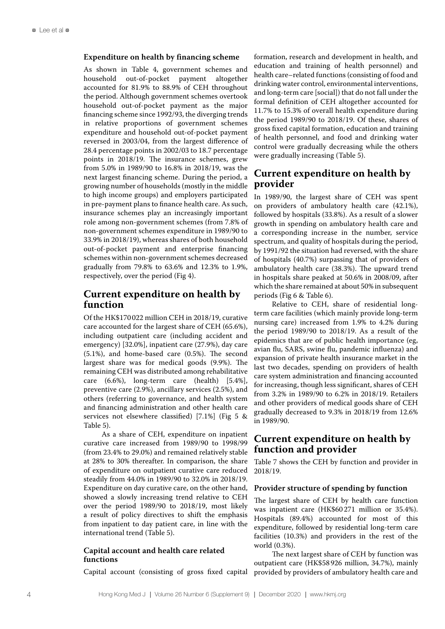#### **Expenditure on health by financing scheme**

As shown in Table 4, government schemes and household out-of-pocket payment altogether accounted for 81.9% to 88.9% of CEH throughout the period. Although government schemes overtook household out-of-pocket payment as the major financing scheme since 1992/93, the diverging trends in relative proportions of government schemes expenditure and household out-of-pocket payment reversed in 2003/04, from the largest difference of 28.4 percentage points in 2002/03 to 18.7 percentage points in 2018/19. The insurance schemes, grew from 5.0% in 1989/90 to 16.8% in 2018/19, was the next largest financing scheme. During the period, a growing number of households (mostly in the middle to high income groups) and employers participated in pre-payment plans to finance health care. As such, insurance schemes play an increasingly important role among non-government schemes (from 7.8% of non-government schemes expenditure in 1989/90 to 33.9% in 2018/19), whereas shares of both household out-of-pocket payment and enterprise financing schemes within non-government schemes decreased gradually from 79.8% to 63.6% and 12.3% to 1.9%, respectively, over the period (Fig 4).

# **Current expenditure on health by function**

Of the HK\$170 022 million CEH in 2018/19, curative care accounted for the largest share of CEH (65.6%), including outpatient care (including accident and emergency) [32.0%], inpatient care (27.9%), day care (5.1%), and home-based care (0.5%). The second largest share was for medical goods (9.9%). The remaining CEH was distributed among rehabilitative care (6.6%), long-term care (health) [5.4%], preventive care (2.9%), ancillary services (2.5%), and others (referring to governance, and health system and financing administration and other health care services not elsewhere classified) [7.1%] (Fig 5 & Table 5).

As a share of CEH, expenditure on inpatient curative care increased from 1989/90 to 1998/99 (from 23.4% to 29.0%) and remained relatively stable at 28% to 30% thereafter. In comparison, the share of expenditure on outpatient curative care reduced steadily from 44.0% in 1989/90 to 32.0% in 2018/19. Expenditure on day curative care, on the other hand, showed a slowly increasing trend relative to CEH over the period 1989/90 to 2018/19, most likely a result of policy directives to shift the emphasis from inpatient to day patient care, in line with the international trend (Table 5).

#### **Capital account and health care related functions**

Capital account (consisting of gross fixed capital

formation, research and development in health, and education and training of health personnel) and health care–related functions (consisting of food and drinking water control, environmental interventions, and long-term care [social]) that do not fall under the formal definition of CEH altogether accounted for 11.7% to 15.3% of overall health expenditure during the period 1989/90 to 2018/19. Of these, shares of gross fixed capital formation, education and training of health personnel, and food and drinking water control were gradually decreasing while the others were gradually increasing (Table 5).

# **Current expenditure on health by provider**

In 1989/90, the largest share of CEH was spent on providers of ambulatory health care (42.1%), followed by hospitals (33.8%). As a result of a slower growth in spending on ambulatory health care and a corresponding increase in the number, service spectrum, and quality of hospitals during the period, by 1991/92 the situation had reversed, with the share of hospitals (40.7%) surpassing that of providers of ambulatory health care (38.3%). The upward trend in hospitals share peaked at 50.6% in 2008/09, after which the share remained at about 50% in subsequent periods (Fig 6 & Table 6).

Relative to CEH, share of residential longterm care facilities (which mainly provide long-term nursing care) increased from 1.9% to 4.2% during the period 1989/90 to 2018/19. As a result of the epidemics that are of public health importance (eg, avian flu, SARS, swine flu, pandemic influenza) and expansion of private health insurance market in the last two decades, spending on providers of health care system administration and financing accounted for increasing, though less significant, shares of CEH from 3.2% in 1989/90 to 6.2% in 2018/19. Retailers and other providers of medical goods share of CEH gradually decreased to 9.3% in 2018/19 from 12.6% in 1989/90.

# **Current expenditure on health by function and provider**

Table 7 shows the CEH by function and provider in 2018/19.

#### **Provider structure of spending by function**

The largest share of CEH by health care function was inpatient care (HK\$60 271 million or 35.4%). Hospitals (89.4%) accounted for most of this expenditure, followed by residential long-term care facilities (10.3%) and providers in the rest of the world (0.3%).

The next largest share of CEH by function was outpatient care (HK\$58 926 million, 34.7%), mainly provided by providers of ambulatory health care and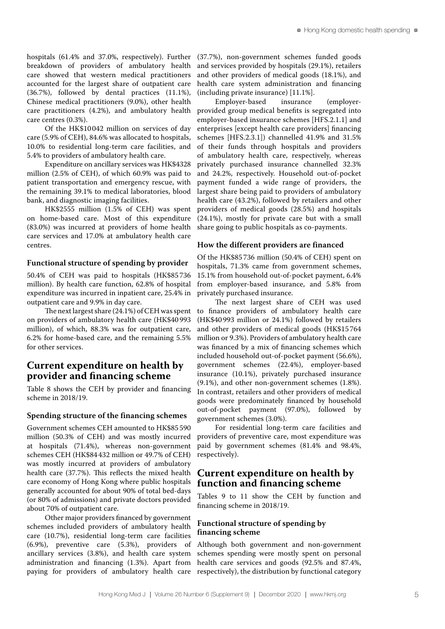hospitals (61.4% and 37.0%, respectively). Further breakdown of providers of ambulatory health care showed that western medical practitioners accounted for the largest share of outpatient care (36.7%), followed by dental practices (11.1%), Chinese medical practitioners (9.0%), other health care practitioners (4.2%), and ambulatory health provided group medical benefits is segregated into care centres (0.3%).

Of the HK\$10 042 million on services of day care (5.9% of CEH), 84.6% was allocated to hospitals, 10.0% to residential long-term care facilities, and 5.4% to providers of ambulatory health care.

Expenditure on ancillary services was HK\$4328 million (2.5% of CEH), of which 60.9% was paid to patient transportation and emergency rescue, with the remaining 39.1% to medical laboratories, blood bank, and diagnostic imaging facilities.

HK\$2555 million (1.5% of CEH) was spent on home-based care. Most of this expenditure (83.0%) was incurred at providers of home health care services and 17.0% at ambulatory health care centres.

#### **Functional structure of spending by provider**

50.4% of CEH was paid to hospitals (HK\$85 736 million). By health care function, 62.8% of hospital expenditure was incurred in inpatient care, 25.4% in outpatient care and 9.9% in day care.

The next largest share (24.1%) of CEH was spent on providers of ambulatory health care (HK\$40 993 million), of which, 88.3% was for outpatient care, 6.2% for home-based care, and the remaining 5.5% for other services.

# **Current expenditure on health by provider and financing scheme**

Table 8 shows the CEH by provider and financing scheme in 2018/19.

# **Spending structure of the financing schemes**

Government schemes CEH amounted to HK\$85 590 million (50.3% of CEH) and was mostly incurred at hospitals (71.4%), whereas non-government schemes CEH (HK\$84 432 million or 49.7% of CEH) was mostly incurred at providers of ambulatory health care (37.7%). This reflects the mixed health care economy of Hong Kong where public hospitals generally accounted for about 90% of total bed-days (or 80% of admissions) and private doctors provided about 70% of outpatient care.

Other major providers financed by government schemes included providers of ambulatory health care (10.7%), residential long-term care facilities (6.9%), preventive care (5.3%), providers of ancillary services (3.8%), and health care system administration and financing (1.3%). Apart from paying for providers of ambulatory health care (37.7%), non-government schemes funded goods and services provided by hospitals (29.1%), retailers and other providers of medical goods (18.1%), and health care system administration and financing (including private insurance) [11.1%].<br>Employer-based insurance

Employer-based insurance (employeremployer-based insurance schemes [HFS.2.1.1] and enterprises [except health care providers] financing schemes [HFS.2.3.1]) channelled 41.9% and 31.5% of their funds through hospitals and providers of ambulatory health care, respectively, whereas privately purchased insurance channelled 32.3% and 24.2%, respectively. Household out-of-pocket payment funded a wide range of providers, the largest share being paid to providers of ambulatory health care (43.2%), followed by retailers and other providers of medical goods (28.5%) and hospitals (24.1%), mostly for private care but with a small share going to public hospitals as co-payments.

#### **How the different providers are financed**

Of the HK\$85 736 million (50.4% of CEH) spent on hospitals, 71.3% came from government schemes, 15.1% from household out-of-pocket payment, 6.4% from employer-based insurance, and 5.8% from privately purchased insurance.

The next largest share of CEH was used to finance providers of ambulatory health care (HK\$40 993 million or 24.1%) followed by retailers and other providers of medical goods (HK\$15 764 million or 9.3%). Providers of ambulatory health care was financed by a mix of financing schemes which included household out-of-pocket payment (56.6%), government schemes (22.4%), employer-based insurance (10.1%), privately purchased insurance (9.1%), and other non-government schemes (1.8%). In contrast, retailers and other providers of medical goods were predominately financed by household out-of-pocket payment (97.0%), followed by government schemes (3.0%).

For residential long-term care facilities and providers of preventive care, most expenditure was paid by government schemes (81.4% and 98.4%, respectively).

# **Current expenditure on health by function and financing scheme**

Tables 9 to 11 show the CEH by function and financing scheme in 2018/19.

#### **Functional structure of spending by financing scheme**

Although both government and non-government schemes spending were mostly spent on personal health care services and goods (92.5% and 87.4%, respectively), the distribution by functional category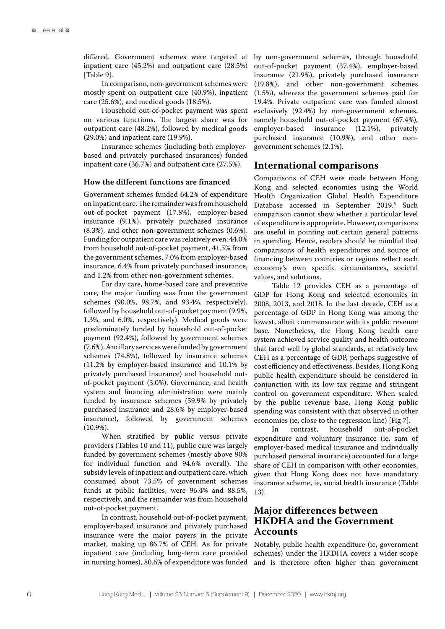differed. Government schemes were targeted at inpatient care (45.2%) and outpatient care (28.5%) [Table 9].

In comparison, non-government schemes were mostly spent on outpatient care (40.9%), inpatient care (25.6%), and medical goods (18.5%).

Household out-of-pocket payment was spent on various functions. The largest share was for outpatient care (48.2%), followed by medical goods (29.0%) and inpatient care (19.9%).

Insurance schemes (including both employerbased and privately purchased insurances) funded inpatient care (36.7%) and outpatient care (27.5%).

#### **How the different functions are financed**

Government schemes funded 64.2% of expenditure on inpatient care. The remainder was from household out-of-pocket payment (17.8%), employer-based insurance (9.1%), privately purchased insurance (8.3%), and other non-government schemes (0.6%). Funding for outpatient care was relatively even: 44.0% from household out-of-pocket payment, 41.5% from the government schemes, 7.0% from employer-based insurance, 6.4% from privately purchased insurance, and 1.2% from other non-government schemes.

For day care, home-based care and preventive care, the major funding was from the government schemes (90.0%, 98.7%, and 93.4%, respectively), followed by household out-of-pocket payment (9.9%, 1.3%, and 6.0%, respectively). Medical goods were predominately funded by household out-of-pocket payment (92.4%), followed by government schemes (7.6%). Ancillary services were funded by government schemes (74.8%), followed by insurance schemes (11.2% by employer-based insurance and 10.1% by privately purchased insurance) and household outof-pocket payment (3.0%). Governance, and health system and financing administration were mainly funded by insurance schemes (59.9% by privately purchased insurance and 28.6% by employer-based insurance), followed by government schemes (10.9%).

When stratified by public versus private providers (Tables 10 and 11), public care was largely funded by government schemes (mostly above 90% for individual function and 94.6% overall). The subsidy levels of inpatient and outpatient care, which consumed about 73.5% of government schemes funds at public facilities, were 96.4% and 88.5%, respectively, and the remainder was from household out-of-pocket payment.

In contrast, household out-of-pocket payment, employer-based insurance and privately purchased insurance were the major payers in the private market, making up 86.7% of CEH. As for private inpatient care (including long-term care provided in nursing homes), 80.6% of expenditure was funded

by non-government schemes, through household out-of-pocket payment (37.4%), employer-based insurance (21.9%), privately purchased insurance (19.8%), and other non-government schemes (1.5%), whereas the government schemes paid for 19.4%. Private outpatient care was funded almost exclusively (92.4%) by non-government schemes, namely household out-of-pocket payment (67.4%),<br>employer-based insurance (12.1%), privately insurance  $(12.1\%)$ , purchased insurance (10.9%), and other nongovernment schemes (2.1%).

# **International comparisons**

Comparisons of CEH were made between Hong Kong and selected economies using the World Health Organization Global Health Expenditure Database accessed in September 2019.<sup>5</sup> Such comparison cannot show whether a particular level of expenditure is appropriate. However, comparisons are useful in pointing out certain general patterns in spending. Hence, readers should be mindful that comparisons of health expenditures and source of financing between countries or regions reflect each economy's own specific circumstances, societal values, and solutions.

Table 12 provides CEH as a percentage of GDP for Hong Kong and selected economies in 2008, 2013, and 2018. In the last decade, CEH as a percentage of GDP in Hong Kong was among the lowest, albeit commensurate with its public revenue base. Nonetheless, the Hong Kong health care system achieved service quality and health outcome that fared well by global standards, at relatively low CEH as a percentage of GDP, perhaps suggestive of cost efficiency and effectiveness. Besides, Hong Kong public health expenditure should be considered in conjunction with its low tax regime and stringent control on government expenditure. When scaled by the public revenue base, Hong Kong public spending was consistent with that observed in other economies (ie, close to the regression line) [Fig 7].

In contrast, household out-of-pocket expenditure and voluntary insurance (ie, sum of employer-based medical insurance and individually purchased personal insurance) accounted for a large share of CEH in comparison with other economies, given that Hong Kong does not have mandatory insurance scheme, ie, social health insurance (Table 13).

# **Major differences between HKDHA and the Government Accounts**

Notably, public health expenditure (ie, government schemes) under the HKDHA covers a wider scope and is therefore often higher than government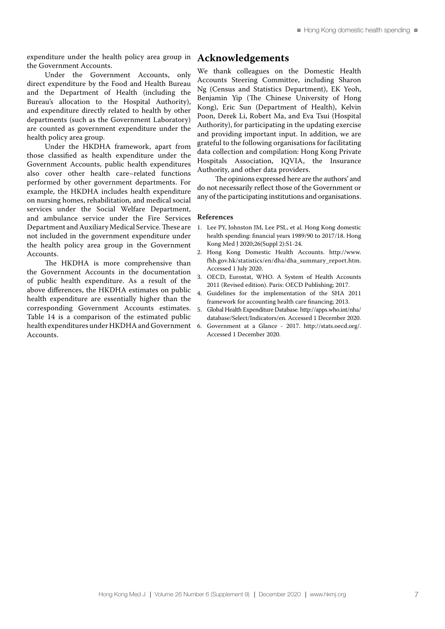expenditure under the health policy area group in the Government Accounts.

Under the Government Accounts, only direct expenditure by the Food and Health Bureau and the Department of Health (including the Bureau's allocation to the Hospital Authority), and expenditure directly related to health by other departments (such as the Government Laboratory) are counted as government expenditure under the health policy area group.

Under the HKDHA framework, apart from those classified as health expenditure under the Government Accounts, public health expenditures also cover other health care–related functions performed by other government departments. For example, the HKDHA includes health expenditure on nursing homes, rehabilitation, and medical social services under the Social Welfare Department, and ambulance service under the Fire Services Department and Auxiliary Medical Service. These are not included in the government expenditure under the health policy area group in the Government Accounts.

The HKDHA is more comprehensive than the Government Accounts in the documentation of public health expenditure. As a result of the above differences, the HKDHA estimates on public health expenditure are essentially higher than the corresponding Government Accounts estimates. Table 14 is a comparison of the estimated public health expenditures under HKDHA and Government Accounts.

# **Acknowledgements**

We thank colleagues on the Domestic Health Accounts Steering Committee, including Sharon Ng (Census and Statistics Department), EK Yeoh, Benjamin Yip (The Chinese University of Hong Kong), Eric Sun (Department of Health), Kelvin Poon, Derek Li, Robert Ma, and Eva Tsui (Hospital Authority), for participating in the updating exercise and providing important input. In addition, we are grateful to the following organisations for facilitating data collection and compilation: Hong Kong Private Hospitals Association, IQVIA, the Insurance Authority, and other data providers.

The opinions expressed here are the authors' and do not necessarily reflect those of the Government or any of the participating institutions and organisations.

#### **References**

- 1. Lee PY, Johnston JM, Lee PSL, et al. Hong Kong domestic health spending: financial years 1989/90 to 2017/18. Hong Kong Med J 2020;26(Suppl 2):S1-24.
- 2. Hong Kong Domestic Health Accounts. http://www. fhb.gov.hk/statistics/en/dha/dha\_summary\_report.htm. Accessed 1 July 2020.
- 3. OECD, Eurostat, WHO. A System of Health Accounts 2011 (Revised edition). Paris: OECD Publishing; 2017.
- 4. Guidelines for the implementation of the SHA 2011 framework for accounting health care financing; 2013.
- 5. Global Health Expenditure Database. http://apps.who.int/nha/ database/Select/Indicators/en. Accessed 1 December 2020.
- 6. Government at a Glance 2017. http://stats.oecd.org/. Accessed 1 December 2020.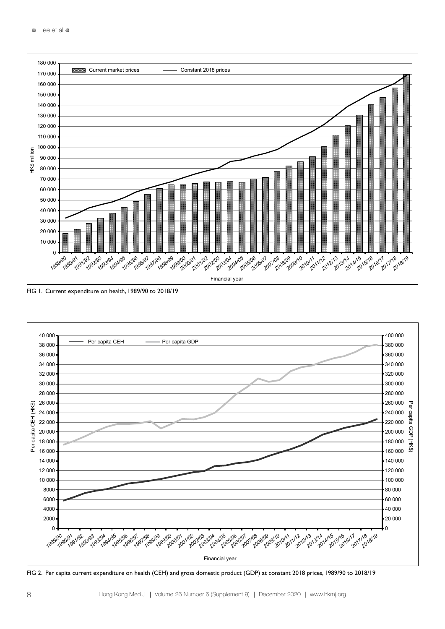

FIG 1. Current expenditure on health, 1989/90 to 2018/19



.<br>FIG 2. Per capita current expenditure on health (CEH) and gross domestic product (GDP) at constant 2018 prices, 1989/90 to 2018/19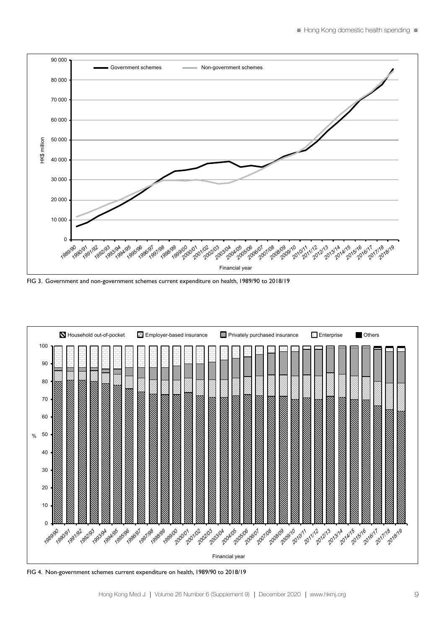

FIG 3. Government and non-government schemes current expenditure on health, 1989/90 to 2018/19<br>FIG 3. Government and non-government schemes current expenditure on health, 1989/90 to 2018/19 8/19<br>2011 tanggal Pic<br>1994<br>1994 - Pica  $3/19$ 



FIG 4. Non-government schemes current expenditure on health, 1989/90 to 2018/19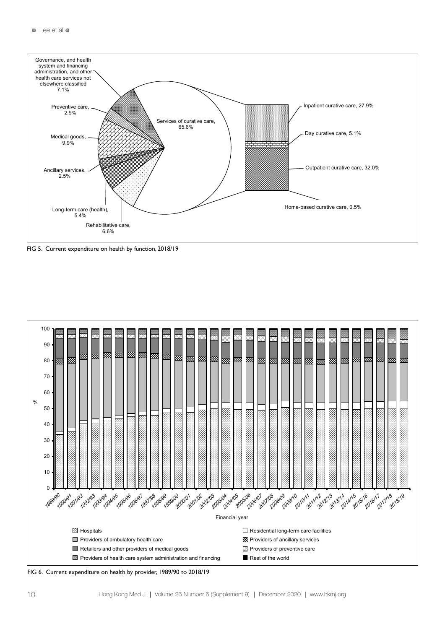

FIG 5. Current expenditure on health by function, 2018/19



FIG 6. Current expenditure on health by provider, 1989/90 to 2018/19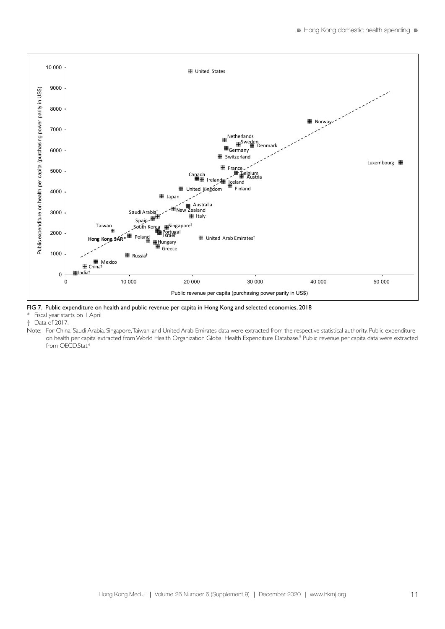

FIG 7. Public expenditure on health and public revenue per capita in Hong Kong and selected economies, 2018

Fiscal year starts on 1 April

† Data of 2017.

Note: For China, Saudi Arabia, Singapore, Taiwan, and United Arab Emirates data were extracted from the respective statistical authority. Public expenditure on health per capita extracted from World Health Organization Global Health Expenditure Database.<sup>5</sup> Public revenue per capita data were extracted from OECD.Stat.<sup>6</sup>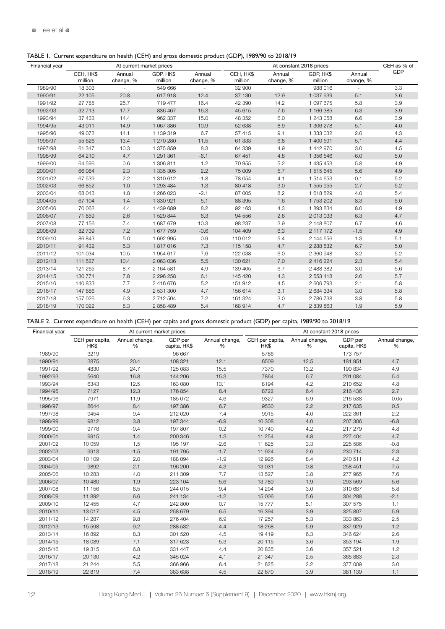TABLE 1. Current expenditure on health (CEH) and gross domestic product (GDP), 1989/90 to 2018/19

| Financial year |                      |                     | At current market prices |                     |                      |                     | At constant 2018 prices |                     | CEH as % of |
|----------------|----------------------|---------------------|--------------------------|---------------------|----------------------|---------------------|-------------------------|---------------------|-------------|
|                | CEH, HK\$<br>million | Annual<br>change, % | GDP, HK\$<br>million     | Annual<br>change, % | CEH, HK\$<br>million | Annual<br>change, % | GDP, HK\$<br>million    | Annual<br>change, % | GDP         |
| 1989/90        | 18 303               |                     | 549 666                  |                     | 32 900               |                     | 988 016                 |                     | 3.3         |
| 1990/91        | 22 105               | 20.8                | 617918                   | 12.4                | 37 130               | 12.9                | 1 037 939               | 5.1                 | 3.6         |
| 1991/92        | 27 785               | 25.7                | 719 477                  | 16.4                | 42 390               | 14.2                | 1 097 675               | 5.8                 | 3.9         |
| 1992/93        | 32 713               | 17.7                | 836 467                  | 16.3                | 45 615               | 7.6                 | 1 166 385               | 6.3                 | 3.9         |
| 1993/94        | 37 433               | 14.4                | 962 337                  | 15.0                | 48 352               | 6.0                 | 1 243 058               | 6.6                 | 3.9         |
| 1994/95        | 43 011               | 14.9                | 1 067 386                | 10.9                | 52 638               | 8.9                 | 1 306 278               | 5.1                 | 4.0         |
| 1995/96        | 49 072               | 14.1                | 1 139 319                | 6.7                 | 57 415               | 9.1                 | 1 333 032               | 2.0                 | 4.3         |
| 1996/97        | 55 626               | 13.4                | 1 270 280                | 11.5                | 61 333               | 6.8                 | 1 400 591               | 5.1                 | 4.4         |
| 1997/98        | 61 347               | 10.3                | 1 375 859                | 8.3                 | 64 339               | 4.9                 | 1 442 970               | 3.0                 | 4.5         |
| 1998/99        | 64 210               | 4.7                 | 1 291 361                | $-6.1$              | 67 451               | 4.8                 | 1 356 546               | $-6.0$              | 5.0         |
| 1999/00        | 64 596               | 0.6                 | 1 306 811                | 1.2                 | 70 955               | 5.2                 | 1 435 453               | 5.8                 | 4.9         |
| 2000/01        | 66 084               | 2.3                 | 1 335 305                | 2.2                 | 75 009               | 5.7                 | 1 515 645               | 5.6                 | 4.9         |
| 2001/02        | 67 539               | 2.2                 | 1 310 612                | $-1.8$              | 78 054               | 4.1                 | 1 514 653               | $-0.1$              | 5.2         |
| 2002/03        | 66 852               | $-1.0$              | 1 293 484                | $-1.3$              | 80 418               | 3.0                 | 1 555 955               | 2.7                 | 5.2         |
| 2003/04        | 68 043               | 1.8                 | 1 266 023                | $-2.1$              | 87 005               | 8.2                 | 1 618 829               | 4.0                 | 5.4         |
| 2004/05        | 67 104               | $-1.4$              | 1 330 921                | 5.1                 | 88 395               | 1.6                 | 1 753 202               | 8.3                 | 5.0         |
| 2005/06        | 70 062               | 4.4                 | 1 439 689                | 8.2                 | 92 163               | 4.3                 | 1 893 834               | 8.0                 | 4.9         |
| 2006/07        | 71 859               | 2.6                 | 1 529 844                | 6.3                 | 94 556               | 2.6                 | 2 013 033               | 6.3                 | 4.7         |
| 2007/08        | 77 156               | 7.4                 | 1 687 679                | 10.3                | 98 237               | 3.9                 | 2 148 807               | 6.7                 | 4.6         |
| 2008/09        | 82 739               | 7.2                 | 1 677 759                | $-0.6$              | 104 409              | 6.3                 | 2 117 172               | $-1.5$              | 4.9         |
| 2009/10        | 86 843               | 5.0                 | 1 692 995                | 0.9                 | 110 012              | 5.4                 | 2 144 656               | 1.3                 | 5.1         |
| 2010/11        | 91 432               | 5.3                 | 1817016                  | 7.3                 | 115 158              | 4.7                 | 2 288 532               | 6.7                 | 5.0         |
| 2011/12        | 101 034              | 10.5                | 1954 617                 | 7.6                 | 122 038              | 6.0                 | 2 360 948               | 3.2                 | 5.2         |
| 2012/13        | 111 527              | 10.4                | 2 063 036                | 5.5                 | 130 621              | 7.0                 | 2 416 224               | 2.3                 | 5.4         |
| 2013/14        | 121 265              | 8.7                 | 2 164 581                | 4.9                 | 139 405              | 6.7                 | 2 488 382               | 3.0                 | 5.6         |
| 2014/15        | 130 774              | 7.8                 | 2 296 258                | 6.1                 | 145 420              | 4.3                 | 2 553 418               | 2.6                 | 5.7         |
| 2015/16        | 140 833              | 7.7                 | 2 416 676                | 5.2                 | 151 912              | 4.5                 | 2 606 793               | 2.1                 | 5.8         |
| 2016/17        | 147 686              | 4.9                 | 2 531 300                | 4.7                 | 156 614              | 3.1                 | 2 684 334               | 3.0                 | 5.8         |
| 2017/18        | 157 026              | 6.3                 | 2 712 504                | 7.2                 | 161 324              | 3.0                 | 2 786 738               | 3.8                 | 5.8         |
| 2018/19        | 170 022              | 8.3                 | 2 858 489                | 5.4                 | 168 914              | 4.7                 | 2 839 863               | 1.9                 | 5.9         |

| Financial year |                         | At current market prices |                         |                     |                         | At constant 2018 prices |                         |                     |
|----------------|-------------------------|--------------------------|-------------------------|---------------------|-------------------------|-------------------------|-------------------------|---------------------|
|                | CEH per capita,<br>HK\$ | Annual change,<br>%      | GDP per<br>capita, HK\$ | Annual change,<br>% | CEH per capita,<br>HK\$ | Annual change,<br>%     | GDP per<br>capita, HK\$ | Annual change,<br>% |
| 1989/90        | 3219                    | ÷,                       | 96 667                  | ÷.                  | 5786                    | ÷.                      | 173 757                 |                     |
| 1990/91        | 3875                    | 20.4                     | 108 321                 | 12.1                | 6509                    | 12.5                    | 181 951                 | 4.7                 |
| 1991/92        | 4830                    | 24.7                     | 125 083                 | 15.5                | 7370                    | 13.2                    | 190 834                 | 4.9                 |
| 1992/93        | 5640                    | 16.8                     | 144 206                 | 15.3                | 7864                    | 6.7                     | 201 084                 | 5.4                 |
| 1993/94        | 6343                    | 12.5                     | 163 080                 | 13.1                | 8194                    | 4.2                     | 210 652                 | 4.8                 |
| 1994/95        | 7127                    | 12.3                     | 176 854                 | 8.4                 | 8722                    | 6.4                     | 216 436                 | 2.7                 |
| 1995/96        | 7971                    | 11.9                     | 185 072                 | 4.6                 | 9327                    | 6.9                     | 216 538                 | 0.05                |
| 1996/97        | 8644                    | 8.4                      | 197 386                 | 6.7                 | 9530                    | 2.2                     | 217 635                 | 0.5                 |
| 1997/98        | 9454                    | 9.4                      | 212 020                 | 7.4                 | 9915                    | 4.0                     | 222 361                 | 2.2                 |
| 1998/99        | 9812                    | 3.8                      | 197 344                 | $-6.9$              | 10 308                  | 4.0                     | 207 306                 | $-6.8$              |
| 1999/00        | 9778                    | $-0.4$                   | 197 807                 | 0.2                 | 10 740                  | 4.2                     | 217 279                 | 4.8                 |
| 2000/01        | 9915                    | 1.4                      | 200 346                 | 1.3                 | 11 254                  | 4.8                     | 227 404                 | 4.7                 |
| 2001/02        | 10 059                  | 1.5                      | 195 197                 | $-2.6$              | 11 625                  | 3.3                     | 225 586                 | $-0.8$              |
| 2002/03        | 9913                    | $-1.5$                   | 191795                  | $-1.7$              | 11 924                  | 2.6                     | 230 714                 | 2.3                 |
| 2003/04        | 10 109                  | 2.0                      | 188 094                 | $-1.9$              | 12 9 26                 | 8.4                     | 240 511                 | 4.2                 |
| 2004/05        | 9892                    | $-2.1$                   | 196 200                 | 4.3                 | 13 0 31                 | 0.8                     | 258 451                 | 7.5                 |
| 2005/06        | 10 283                  | 4.0                      | 211 309                 | 7.7                 | 13 5 27                 | 3.8                     | 277 965                 | 7.6                 |
| 2006/07        | 10 480                  | 1.9                      | 223 104                 | 5.6                 | 13789                   | 1.9                     | 293 569                 | 5.6                 |
| 2007/08        | 11 156                  | 6.5                      | 244 015                 | 9.4                 | 14 204                  | 3.0                     | 310 687                 | 5.8                 |
| 2008/09        | 11892                   | 6.6                      | 241 134                 | $-1.2$              | 15 006                  | 5.6                     | 304 288                 | $-2.1$              |
| 2009/10        | 12 455                  | 4.7                      | 242 800                 | 0.7                 | 15777                   | 5.1                     | 307 575                 | 1.1                 |
| 2010/11        | 13017                   | 4.5                      | 258 679                 | 6.5                 | 16 3 94                 | 3.9                     | 325 807                 | 5.9                 |
| 2011/12        | 14 287                  | 9.8                      | 276 404                 | 6.9                 | 17 257                  | 5.3                     | 333 863                 | 2.5                 |
| 2012/13        | 15 5 98                 | 9.2                      | 288 532                 | 4.4                 | 18 268                  | 5.9                     | 337 929                 | 1.2                 |
| 2013/14        | 16892                   | 8.3                      | 301 520                 | 4.5                 | 19419                   | 6.3                     | 346 624                 | 2.6                 |
| 2014/15        | 18 0 89                 | 7.1                      | 317 623                 | 5.3                 | 20 115                  | 3.6                     | 353 194                 | 1.9                 |
| 2015/16        | 19315                   | 6.8                      | 331 447                 | 4.4                 | 20 835                  | 3.6                     | 357 521                 | 1.2                 |
| 2016/17        | 20 130                  | 4.2                      | 345 024                 | 4.1                 | 21 347                  | 2.5                     | 365 883                 | 2.3                 |
| 2017/18        | 21 244                  | 5.5                      | 366 966                 | 6.4                 | 21 825                  | 2.2                     | 377 009                 | 3.0                 |
| 2018/19        | 22 8 19                 | 7.4                      | 383 638                 | 4.5                 | 22 670                  | 3.9                     | 381 139                 | 1.1                 |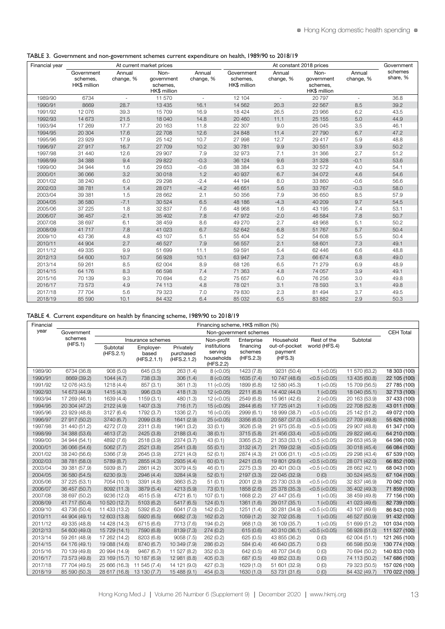|  | TABLE 3. Government and non-government schemes current expenditure on health, 1989/90 to 2018/19 |  |  |
|--|--------------------------------------------------------------------------------------------------|--|--|
|  |                                                                                                  |  |  |

| Financial year |                                        |                          | At current market prices                       |                          |                                        |                     | At constant 2018 prices                        |                          | Government          |
|----------------|----------------------------------------|--------------------------|------------------------------------------------|--------------------------|----------------------------------------|---------------------|------------------------------------------------|--------------------------|---------------------|
|                | Government<br>schemes,<br>HK\$ million | Annual<br>change, %      | Non-<br>qovernment<br>schemes.<br>HK\$ million | Annual<br>change, %      | Government<br>schemes,<br>HK\$ million | Annual<br>change, % | Non-<br>government<br>schemes.<br>HK\$ million | Annual<br>change, %      | schemes<br>share, % |
| 1989/90        | 6734                                   | $\overline{\phantom{a}}$ | 11 570                                         | $\overline{\phantom{a}}$ | 12 104                                 | ä,                  | 20 797                                         | $\overline{\phantom{a}}$ | 36.8                |
| 1990/91        | 8669                                   | 28.7                     | 13 4 35                                        | 16.1                     | 14 5 62                                | 20.3                | 22 567                                         | 8.5                      | 39.2                |
| 1991/92        | 12 076                                 | 39.3                     | 15 709                                         | 16.9                     | 18 4 24                                | 26.5                | 23 966                                         | 6.2                      | 43.5                |
| 1992/93        | 14 673                                 | 21.5                     | 18 040                                         | 14.8                     | 20 460                                 | 11.1                | 25 155                                         | 5.0                      | 44.9                |
| 1993/94        | 17 269                                 | 17.7                     | 20 163                                         | 11.8                     | 22 307                                 | 9.0                 | 26 045                                         | 3.5                      | 46.1                |
| 1994/95        | 20 304                                 | 17.6                     | 22 708                                         | 12.6                     | 24 848                                 | 11.4                | 27 790                                         | 6.7                      | 47.2                |
| 1995/96        | 23 9 29                                | 17.9                     | 25 142                                         | 10.7                     | 27 998                                 | 12.7                | 29 417                                         | 5.9                      | 48.8                |
| 1996/97        | 27 917                                 | 16.7                     | 27 709                                         | 10.2                     | 30 781                                 | 9.9                 | 30 551                                         | 3.9                      | 50.2                |
| 1997/98        | 31 440                                 | 12.6                     | 29 907                                         | 7.9                      | 32 973                                 | 7.1                 | 31 366                                         | 2.7                      | 51.2                |
| 1998/99        | 34 388                                 | 9.4                      | 29 822                                         | $-0.3$                   | 36 124                                 | 9.6                 | 31 328                                         | $-0.1$                   | 53.6                |
| 1999/00        | 34 944                                 | 1.6                      | 29 653                                         | $-0.6$                   | 38 384                                 | 6.3                 | 32 572                                         | 4.0                      | 54.1                |
| 2000/01        | 36 066                                 | 3.2                      | 30 018                                         | 1.2                      | 40 937                                 | 6.7                 | 34 072                                         | 4.6                      | 54.6                |
| 2001/02        | 38 240                                 | 6.0                      | 29 29 8                                        | $-2.4$                   | 44 194                                 | 8.0                 | 33 860                                         | $-0.6$                   | 56.6                |
| 2002/03        | 38 781                                 | 1.4                      | 28 071                                         | $-4.2$                   | 46 651                                 | 5.6                 | 33 767                                         | $-0.3$                   | 58.0                |
| 2003/04        | 39 381                                 | 1.5                      | 28 662                                         | 2.1                      | 50 356                                 | 7.9                 | 36 650                                         | 8.5                      | 57.9                |
| 2004/05        | 36 580                                 | $-7.1$                   | 30 524                                         | 6.5                      | 48 186                                 | $-4.3$              | 40 209                                         | 9.7                      | 54.5                |
| 2005/06        | 37 225                                 | 1.8                      | 32 837                                         | 7.6                      | 48 968                                 | 1.6                 | 43 195                                         | 7.4                      | 53.1                |
| 2006/07        | 36 457                                 | $-2.1$                   | 35 402                                         | 7.8                      | 47 972                                 | $-2.0$              | 46 584                                         | 7.8                      | 50.7                |
| 2007/08        | 38 697                                 | 6.1                      | 38 459                                         | 8.6                      | 49 270                                 | 2.7                 | 48 968                                         | 5.1                      | 50.2                |
| 2008/09        | 41 717                                 | 7.8                      | 41 023                                         | 6.7                      | 52 642                                 | 6.8                 | 51 767                                         | 5.7                      | 50.4                |
| 2009/10        | 43 736                                 | 4.8                      | 43 107                                         | 5.1                      | 55 404                                 | 5.2                 | 54 608                                         | 5.5                      | 50.4                |
| 2010/11        | 44 904                                 | 2.7                      | 46 527                                         | 7.9                      | 56 557                                 | 2.1                 | 58 601                                         | 7.3                      | 49.1                |
| 2011/12        | 49 335                                 | 9.9                      | 51 699                                         | 11.1                     | 59 591                                 | 5.4                 | 62 446                                         | 6.6                      | 48.8                |
| 2012/13        | 54 600                                 | 10.7                     | 56 928                                         | 10.1                     | 63 947                                 | 7.3                 | 66 674                                         | 6.8                      | 49.0                |
| 2013/14        | 59 261                                 | 8.5                      | 62 004                                         | 8.9                      | 68 126                                 | 6.5                 | 71 279                                         | 6.9                      | 48.9                |
| 2014/15        | 64 176                                 | 8.3                      | 66 598                                         | 7.4                      | 71 363                                 | 4.8                 | 74 057                                         | 3.9                      | 49.1                |
| 2015/16        | 70 139                                 | 9.3                      | 70 694                                         | 6.2                      | 75 657                                 | 6.0                 | 76 256                                         | 3.0                      | 49.8                |
| 2016/17        | 73 573                                 | 4.9                      | 74 113                                         | 4.8                      | 78 021                                 | 3.1                 | 78 593                                         | 3.1                      | 49.8                |
| 2017/18        | 77 704                                 | 5.6                      | 79 323                                         | 7.0                      | 79 830                                 | 2.3                 | 81 494                                         | 3.7                      | 49.5                |
| 2018/19        | 85 590                                 | 10.1                     | 84 432                                         | 6.4                      | 85 032                                 | 6.5                 | 83 882                                         | 2.9                      | 50.3                |

# TABLE 4. Current expenditure on health by financing scheme, 1989/90 to 2018/19

| Financial |               |                            |                                   |                                       | Financing scheme, HK\$ million (%)                 |                                   |                                     |                     |               |                  |
|-----------|---------------|----------------------------|-----------------------------------|---------------------------------------|----------------------------------------------------|-----------------------------------|-------------------------------------|---------------------|---------------|------------------|
| year      | Government    |                            |                                   |                                       |                                                    | Non-government schemes            |                                     |                     |               | <b>CEH Total</b> |
|           | schemes       |                            | Insurance schemes                 |                                       | Non-profit                                         | Enterprise                        | Household                           | Rest of the         | Subtotal      |                  |
|           | (HFS.1)       | Subtotal<br>(HFS.2.1)      | Employer-<br>based<br>(HFS.2.1.1) | Privately<br>purchased<br>(HFS.2.1.2) | institutions<br>serving<br>households<br>(HFS.2.2) | financing<br>schemes<br>(HFS.2.3) | out-of-pocket<br>payment<br>(HFS.3) | world (HFS.4)       |               |                  |
| 1989/90   | 6734 (36.8)   | 908(5.0)                   | 645 (3.5)                         | 263(1.4)                              | $8$ ( $<$ 0.05)                                    | 1423 (7.8)                        | 9231 (50.4)                         | $1$ (<0.05)         | 11 570 (63.2) | 18 303 (100)     |
| 1990/91   | 8669 (39.2)   | 1044(4.7)                  | 738 (3.3)                         | 306(1.4)                              | $8$ ( $<$ 0.05)                                    | 1635 (7.4)                        | 10 747 (48.6)                       | $<$ 0.5 ( $<$ 0.05) | 13 435 (60.8) | 22 105 (100)     |
| 1991/92   | 12 076 (43.5) | 1218 (4.4)                 | 857(3.1)                          | 361(1.3)                              | 11 $(< 0.05)$                                      | 1899 (6.8)                        | 12 580 (45.3)                       | $1$ (<0.05)         | 15 709 (56.5) | 27 785 (100)     |
| 1992/93   | 14 673 (44.9) | 1415(4.3)                  | 996 (3.0)                         | 418(1.3)                              | $12 (-0.05)$                                       | 2211 (6.8)                        | 14 402 (44.0)                       | $1$ (<0.05)         | 18 040 (55.1) | 32 713 (100)     |
| 1993/94   | 17 269 (46.1) | 1639 (4.4)                 | 1159(3.1)                         | 480 (1.3)                             | $12 (-0.05)$                                       | 2549 (6.8)                        | 15 961 (42.6)                       | $2 (-0.05)$         | 20 163 (53.9) | 37 433 (100)     |
| 1994/95   | 20 304 (47.2) | 2122 (4.9)                 | 1407 (3.3)                        | 716(1.7)                              | $15$ (<0.05)                                       | 2844 (6.6)                        | 17 725 (41.2)                       | $1$ (<0.05)         | 22 708 (52.8) | 43 011 (100)     |
| 1995/96   | 23 929 (48.8) | 3127 (6.4)                 | 1792 (3.7)                        | 1336 (2.7)                            | $16$ (< $0.05$ )                                   | 2999 (6.1)                        | 18 999 (38.7)                       | $<$ 0.5 ( $<$ 0.05) | 25 142 (51.2) | 49 072 (100)     |
| 1996/97   | 27 917 (50.2) | 3740 (6.7)                 | 2099 (3.8)                        | 1641 (2.9)                            | $25$ (< $0.05$ )                                   | 3356 (6.0)                        | 20 587 (37.0)                       | $<$ 0.5 ( $<$ 0.05) | 27 709 (49.8) | 55 626 (100)     |
| 1997/98   | 31 440 (51.2) | 4272 (7.0)                 | 2311 (3.8)                        | 1961 (3.2)                            | 33(0.1)                                            | 3626 (5.9)                        | 21 975 (35.8)                       | $<$ 0.5 ( $<$ 0.05) | 29 907 (48.8) | 61 347 (100)     |
| 1998/99   | 34 388 (53.6) | 4613 (7.2)                 | 2425 (3.8)                        | 2188(3.4)                             | 38(0.1)                                            | 3715 (5.8)                        | 21 456 (33.4)                       | $<$ 0.5 ( $<$ 0.05) | 29 822 (46.4) | 64 210 (100)     |
| 1999/00   | 34 944 (54.1) | 4892 (7.6)                 | 2518 (3.9)                        | 2374 (3.7)                            | 43(0.1)                                            | 3365 (5.2)                        | 21 353 (33.1)                       | $<$ 0.5 ( $<$ 0.05) | 29 653 (45.9) | 64 596 (100)     |
| 2000/01   | 36 066 (54.6) | 5062(7.7)                  | 2521 (3.8)                        | 2541 (3.8)                            | 55(0.1)                                            | 3132 (4.7)                        | 21 769 (32.9)                       | $<$ 0.5 ( $<$ 0.05) | 30 018 (45.4) | 66 084 (100)     |
| 2001/02   | 38 240 (56.6) | 5366 (7.9)                 | 2645 (3.9)                        | 2721 (4.0)                            | 52(0.1)                                            | 2874 (4.3)                        | 21 006 (31.1)                       | $<$ 0.5 ( $<$ 0.05) | 29 298 (43.4) | 67 539 (100)     |
| 2002/03   | 38 781 (58.0) | 5789 (8.7)                 | 2855 (4.3)                        | 2935 (4.4)                            | 60(0.1)                                            | 2421 (3.6)                        | 19 801 (29.6)                       | $<$ 0.5 ( $<$ 0.05) | 28 071 (42.0) | 66 852 (100)     |
| 2003/04   | 39 381 (57.9) | 5939 (8.7)                 | 2861 (4.2)                        | 3079 (4.5)                            | 46(0.1)                                            | 2275 (3.3)                        | 20 401 (30.0)                       | $<$ 0.5 ( $<$ 0.05) | 28 662 (42.1) | 68 043 (100)     |
| 2004/05   | 36 580 (54.5) | 6230 (9.3)                 | 2946 (4.4)                        | 3284 (4.9)                            | 52(0.1)                                            | 2197 (3.3)                        | 22 045 (32.9)                       | O(0)                | 30 524 (45.5) | 67 104 (100)     |
| 2005/06   | 37 225 (53.1) | 7054 (10.1)                | 3391 (4.8)                        | 3663 (5.2)                            | 51(0.1)                                            | 2001 (2.9)                        | 23 730 (33.9)                       | $<$ 0.5 ( $<$ 0.05) | 32 837 (46.9) | 70 062 (100)     |
| 2006/07   | 36 457 (50.7) | 8092 (11.3)                | 3879 (5.4)                        | 4213 (5.9)                            | 73(0.1)                                            | 1858 (2.6)                        | 25 378 (35.3)                       | $<$ 0.5 ( $<$ 0.05) | 35 402 (49.3) | 71 859 (100)     |
| 2007/08   | 38 697 (50.2) | 9236 (12.0)                | 4515 (5.9)                        | 4721 (6.1)                            | 107(0.1)                                           | 1668 (2.2)                        | 27 447 (35.6)                       | $1$ ( $<$ 0.05)     | 38 459 (49.8) | 77 156 (100)     |
| 2008/09   | 41 717 (50.4) | 10 520 (12.7)              | 5103 (6.2)                        | 5417 (6.5)                            | 124(0.1)                                           | 1361 (1.6)                        | 29 017 (35.1)                       | $1$ (<0.05)         | 41 023 (49.6) | 82 739 (100)     |
| 2009/10   | 43 736 (50.4) | 11 433 (13.2)              | 5392 (6.2)                        | 6041 (7.0)                            | 142(0.2)                                           | 1251(1.4)                         | 30 281 (34.9)                       | $<$ 0.5 ( $<$ 0.05) | 43 107 (49.6) | 86 843 (100)     |
| 2010/11   | 44 904 (49.1) | 12 603 (13.8)              | 5920 (6.5)                        | 6682 (7.3)                            | 162(0.2)                                           | 1059(1.2)                         | 32 702 (35.8)                       | $1$ ( $<$ 0.05)     | 46 527 (50.9) | 91 432 (100)     |
| 2011/12   | 49 335 (48.8) | 14 428 (14.3)              | 6715 (6.6)                        | 7713 (7.6)                            | 194(0.2)                                           | 968 (1.0)                         | 36 109 (35.7)                       | $1$ (<0.05)         | 51 699 (51.2) | 101 034 (100)    |
| 2012/13   | 54 600 (49.0) | 15 729 (14.1)              | 7590 (6.8)                        | 8139 (7.3)                            | 274(0.2)                                           | 615(0.6)                          | 40 310 (36.1)                       | $<$ 0.5 ( $<$ 0.05) | 56 928 (51.0) | 111 527 (100)    |
| 2013/14   | 59 261 (48.9) | 17 262 (14.2)              | 8203 (6.8)                        | 9058 (7.5)                            | 262 (0.2)                                          | 625(0.5)                          | 43 855 (36.2)                       | O(0)                | 62 004 (51.1) | 121 265 (100)    |
| 2014/15   | 64 176 (49.1) | 19 088 (14.6)              | 8740 (6.7)                        | 10 349 (7.9)                          | 286(0.2)                                           | 584 (0.4)                         | 46 640 (35.7)                       | O(0)                | 66 598 (50.9) | 130 774 (100)    |
| 2015/16   | 70 139 (49.8) | 20 994 (14.9)              | 9467 (6.7)                        | 11 527 (8.2)                          | 352(0.3)                                           | 642 (0.5)                         | 48 707 (34.6)                       | O(0)                | 70 694 (50.2) | 140 833 (100)    |
| 2016/17   | 73 573 (49.8) | 23 169 (15.7)              | 10 187 (6.9)                      | 12 981 (8.8)                          | 405(0.3)                                           | 687 (0.5)                         | 49 852 (33.8)                       | O(0)                | 74 113 (50.2) | 147 686 (100)    |
| 2017/18   | 77 704 (49.5) | 25 666 (16.3)              | 11 545 (7.4)                      | 14 121 (9.0)                          | 427(0.3)                                           | 1629 (1.0)                        | 51 601 (32.9)                       | O(0)                | 79 323 (50.5) | 157 026 (100)    |
| 2018/19   | 85 590 (50.3) | 28 617 (16.8) 13 130 (7.7) |                                   | 15 488 (9.1)                          | 454 (0.3)                                          | 1630 (1.0)                        | 53 731 (31.6)                       | O(0)                | 84 432 (49.7) | 170 022 (100)    |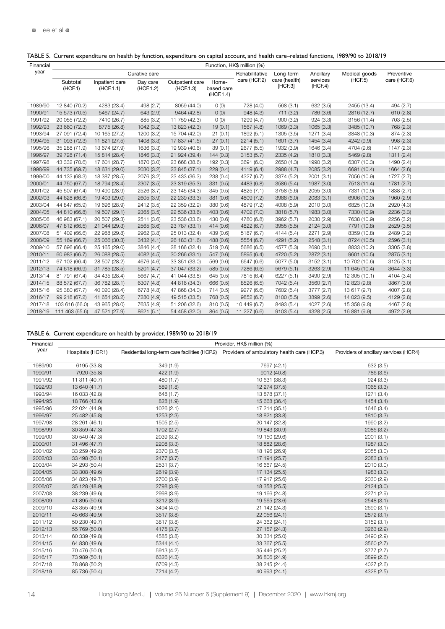| Financial |                                      |                             |                       |                              |                                  | Function, HK\$ million (%) |                         |                     |               |              |  |
|-----------|--------------------------------------|-----------------------------|-----------------------|------------------------------|----------------------------------|----------------------------|-------------------------|---------------------|---------------|--------------|--|
| year      |                                      |                             | Curative care         |                              |                                  | Rehabilitative             | Long-term               | Ancillary           | Medical goods | Preventive   |  |
|           | Subtotal<br>(HCF.1)                  | Inpatient care<br>(HCF.1.1) | Day care<br>(HCF.1.2) | Outpatient care<br>(HCF.1.3) | Home-<br>based care<br>(HCF.1.4) | care (HCF.2)               | care (health<br>[HCF.3] | services<br>(HCF.4) | (HCF.5)       | care (HCF.6) |  |
| 1989/90   | 12 840 (70.2)                        | 4283 (23.4)                 | 498 (2.7)             | 8059 (44.0)                  | 0(0)                             | 728 (4.0)                  | 568 (3.1                | 632 (3.5)           | 2455 (13.4)   | 494 (2.7)    |  |
| 1990/91   | 15 573 (70.5)                        | 5467 (24.7)                 | 643 (2.9)             | 9464 (42.8)                  | O(0)                             | 948 (4.3)                  | 711 (3.2)               | 786 (3.6)           | 2816 (12.7)   | 610(2.8)     |  |
| 1991/92   | 20 055 (72.2)                        | 7410 (26.7)                 | 885 (3.2)             | 11 759 (42.3)                | 0(0)                             | 1299 (4.7)                 | 900(3.2)                | 924(3.3)            | 3156 (11.4)   | 703 (2.5)    |  |
| 1992/93   | 23 660 (72.3)                        | 8775 (26.8)                 | 1042 (3.2)            | 13 823 (42.3)                | 19(0.1)                          | 1567 (4.8)                 | 1069(3.3)               | 1065 (3.3)          | 3485 (10.7)   | 768 (2.3)    |  |
| 1993/94   | 27 091 (72.4)                        | 10 165 (27.2)               | 1200 (3.2)            | 15 704 (42.0)                | 21(0.1)                          | 1892 (5.1)                 | 1305 (3.5)              | 1271 (3.4)          | 3848 (10.3)   | 874 (2.3)    |  |
|           | 1994/95 31 093 (72.3) 11 821 (27.5)  |                             | 1408 (3.3)            | 17 837 (41.5)                | 27(0.1)                          | 2214(5.1)                  | 1601 (3.7)              | 1454 (3.4)          | 4242 (9.9)    | 998 (2.3)    |  |
| 1995/96   | 35 288 (71.9) 13 674 (27.9           |                             | 1636 (3.3)            | 19 939 (40.6)                | 39(0.1)                          | 2677 (5.5)                 | 1932 (3.9)              | 1646 (3.4)          | 4704 (9.6)    | 1147 (2.3)   |  |
| 1996/97   | 39 728 (71.4) 15 814 (28.4)          |                             | 1846 (3.3)            | 21 924 (39.4)                | 144(0.3)                         | 3153(5.7)                  | 2335 (4.2)              | 1810 (3.3)          | 5469 (9.8)    | 1311(2.4)    |  |
| 1997/98   | 43 332 (70.6)                        | 17 601 (28.7)               | 1870 (3.0)            | 23 668 (38.6)                | 192 (0.3)                        | 3691 (6.0)                 | 2650 (4.3)              | 1990 (3.2)          | 6307 (10.3)   | 1490 (2.4)   |  |
| 1998/99   | 44 735 (69.7)                        | 18 631 (29.0)               | 2030 (3.2)            | 23 845 (37.1)                | 229(0.4)                         | 4119 (6.4)                 | 2988 (4.7)              | 2085 (3.2)          | 6691 (10.4)   | 1664 (2.6)   |  |
| 1999/00   | 44 133 (68.3)                        | 18 387 (28.5)               | 2076 (3.2)            | 23 433 (36.3)                | 238 (0.4)                        | 4327 (6.7)                 | 3374 (5.2)              | 2001(3.1)           | 7056 (10.9)   | 1727 (2.7)   |  |
| 2000/01   | 44 750 (67.7)                        | 18 794 (28.4)               | 2307 (3.5)            | 23 319 (35.3)                | 331 (0.5)                        | 4483 (6.8)                 | 3586 (5.4)              | 1987 (3.0)          | 7513 (11.4)   | 1781(2.7)    |  |
| 2001/02   | 45 507 (67.4) 19 490 (28.9)          |                             | 2526 (3.7)            | 23 145 (34.3)                | 345 (0.5)                        | 4825 (7.1)                 | 3758 (5.6)              | 2055 (3.0)          | 7331 (10.9)   | 1838 (2.7)   |  |
| 2002/03   | 44 628 (66.8)                        | 19 403 (29.0                | 2605 (3.9)            | 22 239 (33.3)                | 381 (0.6)                        | 4809 (7.2)                 | 3988 (6.0)              | 2083 (3.1           | 6906 (10.3)   | 1960 (2.9)   |  |
| 2003/04   | 44 847 (65.9)                        | 19 696 (28.9                | 2412 (3.5)            | 22 359 (32.9)                | 380 (0.6)                        | 4879 (7.2)                 | 4008 (5.9)              | 2010 (3.0)          | 6825 (10.0)   | 2920 (4.3)   |  |
| 2004/05   | 44 810 (66.8) 19 507 (29.1)          |                             | 2365 (3.5)            | 22 536 (33.6)                | 403(0.6)                         | 4702 (7.0)                 | 3818 (5.7)              | 1983 (3.0)          | 7330 (10.9)   | 2236 (3.3)   |  |
| 2005/06   | 46 983 (67.1) 20 507 (29.3)          |                             | 2511 (3.6)            | 23 536 (33.6)                | 430 (0.6)                        | 4780 (6.8)                 | 3962 (5.7)              | 2030 (2.9)          | 7638 (10.9)   | 2256 (3.2)   |  |
| 2006/07   | 47 812 (66.5) 21 044 (29.3)          |                             | 2565 (3.6)            | 23 787 (33.1)                | 414(0.6)                         | 4822 (6.7)                 | 3955 (5.5)              | 2124 (3.0)          | 7791 (10.8)   | 2529(3.5)    |  |
| 2007/08   | 51 402 (66.6) 22 988 (29.8)          |                             | 2962 (3.8)            | 25 013 (32.4)                | 439 (0.6)                        | 5187 (6.7)                 | 4144 (5.4)              | 2271 (2.9)          | 8359 (10.8)   | 2489 (3.2)   |  |
| 2008/09   | 55 169 (66.7) 25 066 (30.3)          |                             | 3432 (4.1)            | 26 183 (31.6)                | 488 (0.6)                        | 5554 (6.7)                 | 4291 (5.2)              | 2548 (3.1)          | 8724 (10.5)   | 2596(3.1)    |  |
|           | 2009/10 57 696 (66.4) 25 165 (29.0)  |                             | 3846 (4.4)            | 28 166 (32.4)                | 519 (0.6)                        | 5686 (6.5)                 | 4577 (5.3)              | 2690 (3.1           | 8833 (10.2)   | 3305 (3.8)   |  |
| 2010/11   | 60 983 (66.7) 26 088 (28.5)          |                             | 4082(4.5)             | 30 266 (33.1)                | 547 (0.6)                        | 5895 (6.4)                 | 4720 (5.2)              | 2872 (3.1           | 9601 (10.5)   | 2875(3.1)    |  |
|           | 2011/12 67 102 (66.4) 28 507 (28.2)  |                             | 4676 (4.6)            | 33 351 (33.0)                | 569 (0.6)                        | 6647 (6.6)                 | 5077 (5.0)              | 3152 (3.1           | 10 702 (10.6) | 3125(3.1)    |  |
|           | 2012/13 74 618 (66.9) 31 785 (28.5)  |                             | 5201(4.7)             | 37 047 (33.2)                | 585 (0.5)                        | 7286 (6.5)                 | 5679(5.1)               | 3263 (2.9)          | 11 645 (10.4) | 3644 (3.3)   |  |
|           | 2013/14 81 791 (67.4) 34 435 (28.4)  |                             | 5667 (4.7)            | 41 044 (33.8)                | 645 (0.5)                        | 7815 (6.4)                 | 6227 (5.1)              | 3490 (2.9)          | 12 305 (10.1) | 4104 (3.4)   |  |
|           | 2014/15 88 572 (67.7) 36 782 (28.1)  |                             | 6307 (4.8)            | 44 816 (34.3)                | 666 (0.5)                        | 8526 (6.5)                 | 7042 (5.4)              | 3560 (2.7)          | 12 823 (9.8)  | 3867 (3.0)   |  |
| 2015/16   | 95 380 (67.7) 40 020 (28.4)          |                             | 6778 (4.8)            | 47 868 (34.0)                | 714 (0.5)                        | 9277 (6.6)                 | 7602 (5.4)              | 3777 (2.7           | 13 617 (9.7)  | 4007 (2.8)   |  |
| 2016/17   | 99 218 (67.2) 41 654 (28.2)          |                             | 7280 (4.9)            | 49 515 (33.5)                | 768 (0.5)                        | 9852 (6.7)                 | 8100 (5.5)              | 3899 (2.6)          | 14 023 (9.5)  | 4129 (2.8)   |  |
| 2017/18   | 103 616 (66.0) 43 965 (28.0)         |                             | 7635 (4.9)            | 51 206 (32.6)                | 810 (0.5)                        | 10 449 (6.7                | 8493 (5.4)              | 4027 (2.6)          | 15 358 (9.8)  | 4467 (2.8)   |  |
|           | 2018/19 111 463 (65.6) 47 521 (27.9) |                             | 8621 (5.1)            | 54 458 (32.0)                | 864 (0.5)                        | 11 227 (6.6)               | 9103(5.4)               | 4328 (2.5)          | 16 881 (9.9)  | 4972 (2.9)   |  |

# TABLE 5. Current expenditure on health by function, expenditure on capital account, and health care–related functions, 1989/90 to 2018/19

TABLE 6. Current expenditure on health by provider, 1989/90 to 2018/19

| Financial |                   |            | Provider, HK\$ million (%)                                                                |                                         |  |
|-----------|-------------------|------------|-------------------------------------------------------------------------------------------|-----------------------------------------|--|
| year      | Hospitals (HCP.1) |            | Residential long-term care facilities (HCP.2) Providers of ambulatory health care (HCP.3) | Providers of ancillary services (HCP.4) |  |
| 1989/90   | 6195 (33.8)       | 349 (1.9)  | 7697 (42.1)                                                                               | 632 (3.5)                               |  |
| 1990/91   | 7920 (35.8)       | 422(1.9)   | 9012 (40.8)                                                                               | 786 (3.6)                               |  |
| 1991/92   | 11 311 (40.7)     | 480 (1.7)  | 10 631 (38.3)                                                                             | 924 (3.3)                               |  |
| 1992/93   | 13 640 (41.7)     | 589(1.8)   | 12 274 (37.5)                                                                             | 1065(3.3)                               |  |
| 1993/94   | 16 033 (42.8)     | 648 (1.7)  | 13 878 (37.1)                                                                             | 1271 (3.4)                              |  |
| 1994/95   | 18 766 (43.6)     | 828 (1.9)  | 15 668 (36.4)                                                                             | 1454(3.4)                               |  |
| 1995/96   | 22 024 (44.9)     | 1026(2.1)  | 17 214 (35.1)                                                                             | 1646 (3.4)                              |  |
| 1996/97   | 25 482 (45.8)     | 1253(2.3)  | 18 821 (33.8)                                                                             | 1810 (3.3)                              |  |
| 1997/98   | 28 261 (46.1)     | 1505(2.5)  | 20 147 (32.8)                                                                             | 1990 (3.2)                              |  |
| 1998/99   | 30 359 (47.3)     | 1702(2.7)  | 19 843 (30.9)                                                                             | 2085 (3.2)                              |  |
| 1999/00   | 30 540 (47.3)     | 2039 (3.2) | 19 150 (29.6)                                                                             | 2001(3.1)                               |  |
| 2000/01   | 31 496 (47.7)     | 2208(3.3)  | 18 882 (28.6)                                                                             | 1987 (3.0)                              |  |
| 2001/02   | 33 259 (49.2)     | 2370 (3.5) | 18 196 (26.9)                                                                             | 2055 (3.0)                              |  |
| 2002/03   | 33 498 (50.1)     | 2477 (3.7) | 17 194 (25.7)                                                                             | 2083(3.1)                               |  |
| 2003/04   | 34 293 (50.4)     | 2531 (3.7) | 16 667 (24.5)                                                                             | 2010 (3.0)                              |  |
| 2004/05   | 33 308 (49.6)     | 2619 (3.9) | 17 134 (25.5)                                                                             | 1983 (3.0)                              |  |
| 2005/06   | 34 823 (49.7)     | 2700 (3.9) | 17 917 (25.6)                                                                             | 2030 (2.9)                              |  |
| 2006/07   | 35 128 (48.9)     | 2798 (3.9) | 18 358 (25.5)                                                                             | 2124(3.0)                               |  |
| 2007/08   | 38 239 (49.6)     | 2998 (3.9) | 19 166 (24.8)                                                                             | 2271 (2.9)                              |  |
| 2008/09   | 41 895 (50.6)     | 3212 (3.9) | 19 565 (23.6)                                                                             | 2548(3.1)                               |  |
| 2009/10   | 43 355 (49.9)     | 3494 (4.0) | 21 142 (24.3)                                                                             | 2690(3.1)                               |  |
| 2010/11   | 45 663 (49.9)     | 3517 (3.8) | 22 056 (24.1)                                                                             | 2872 (3.1)                              |  |
| 2011/12   | 50 230 (49.7)     | 3817 (3.8) | 24 362 (24.1)                                                                             | 3152(3.1)                               |  |
| 2012/13   | 55 769 (50.0)     | 4175 (3.7) | 27 157 (24.3)                                                                             | 3263 (2.9)                              |  |
| 2013/14   | 60 339 (49.8)     | 4585 (3.8) | 30 334 (25.0)                                                                             | 3490 (2.9)                              |  |
| 2014/15   | 64 830 (49.6)     | 5344(4.1)  | 33 367 (25.5)                                                                             | 3560 (2.7)                              |  |
| 2015/16   | 70 476 (50.0)     | 5913 (4.2) | 35 446 (25.2)                                                                             | 3777 (2.7)                              |  |
| 2016/17   | 73 989 (50.1)     | 6326 (4.3) | 36 806 (24.9)                                                                             | 3899 (2.6)                              |  |
| 2017/18   | 78 868 (50.2)     | 6709 (4.3) | 38 245 (24.4)                                                                             | 4027 (2.6)                              |  |
| 2018/19   | 85 736 (50.4)     | 7214 (4.2) | 40 993 (24.1)                                                                             | 4328 (2.5)                              |  |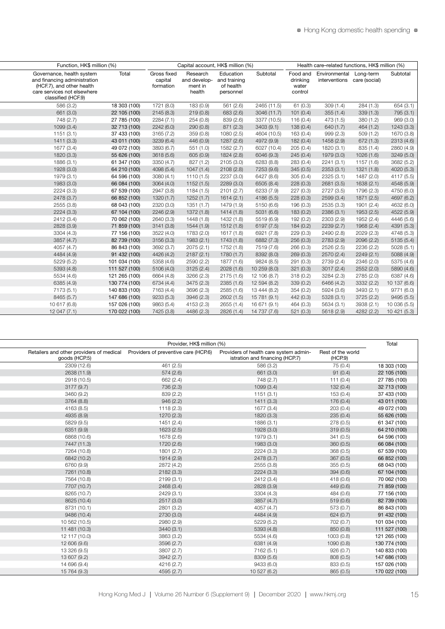| Function, HK\$ million (%)                                                                                                                  |               |                                     | Capital account. HK\$ million (%)             |                                                     |              |                                          | Health care-related functions. HK\$ million (%)        |            |              |
|---------------------------------------------------------------------------------------------------------------------------------------------|---------------|-------------------------------------|-----------------------------------------------|-----------------------------------------------------|--------------|------------------------------------------|--------------------------------------------------------|------------|--------------|
| Governance, health system<br>and financing administration<br>(HCF.7), and other health<br>care services not elsewhere<br>classified (HCF.9) | Total         | Gross fixed<br>capital<br>formation | Research<br>and develop-<br>ment in<br>health | Education<br>and training<br>of health<br>personnel | Subtotal     | Food and<br>drinking<br>water<br>control | Environmental Long-term<br>interventions care (social) |            | Subtotal     |
| 586 (3.2)                                                                                                                                   | 18 303 (100)  | 1721 (8.0)                          | 183 (0.9)                                     | 561 (2.6)                                           | 2465 (11.5)  | 61 (0.3)                                 | 309(1.4)                                               | 284 (1.3)  | 654 (3.1)    |
| 661 (3.0)                                                                                                                                   | 22 105 (100)  | 2145 (8.3)                          | 219(0.8)                                      | 683 (2.6)                                           | 3046 (11.7)  | 101(0.4)                                 | 355(1.4)                                               | 339(1.3)   | 795 (3.1)    |
| 748 (2.7)                                                                                                                                   | 27 785 (100)  | 2284(7.1)                           | 254(0.8)                                      | 839 (2.6)                                           | 3377 (10.5)  | 116(0.4)                                 | 473 (1.5)                                              | 380(1.2)   | 969 (3.0)    |
| 1099 (3.4)                                                                                                                                  | 32 713 (100)  | 2242(6.0)                           | 290(0.8)                                      | 871 (2.3)                                           | 3403 (9.1)   | 138(0.4)                                 | 640 (1.7)                                              | 464(1.2)   | 1243 (3.3)   |
| 1151(3.1)                                                                                                                                   | 37 433 (100)  | 3165 (7.2)                          | 359(0.8)                                      | 1080 (2.5)                                          | 4604 (10.5)  | 163 (0.4)                                | 999 (2.3)                                              | 509(1.2)   | 1670 (3.8)   |
| 1411(3.3)                                                                                                                                   | 43 011 (100)  | 3239 (6.4)                          | 446 (0.9)                                     | 1287 (2.6)                                          | 4972 (9.9)   | 182(0.4)                                 | 1458 (2.9)                                             | 672 (1.3)  | 2313 (4.6)   |
| 1677 (3.4)                                                                                                                                  | 49 072 (100)  | 3893 (6.7)                          | 551(1.0)                                      | 1582 (2.7)                                          | 6027 (10.4)  | 205(0.4)                                 | 1820 (3.1)                                             | 835 (1.4)  | 2860 (4.9)   |
| 1820 (3.3)                                                                                                                                  | 55 626 (100)  | 3618 (5.6)                          | 605 (0.9)                                     | 1824 (2.8)                                          | 6046 (9.3)   | 245(0.4)                                 | 1979 (3.0)                                             | 1026 (1.6) | 3249 (5.0)   |
| 1886 (3.1)                                                                                                                                  | 61 347 (100)  | 3350 (4.7)                          | 827 (1.2)                                     | 2105 (3.0)                                          | 6283 (8.8)   | 283(0.4)                                 | 2241(3.1)                                              | 1157 (1.6) | 3682 (5.2)   |
| 1928 (3.0)                                                                                                                                  | 64 210 (100)  | 4098 (5.4)                          | 1047(1.4)                                     | 2108 (2.8)                                          | 7253 (9.6)   | 345(0.5)                                 | 2353(3.1)                                              | 1321 (1.8) | 4020 (5.3)   |
| 1979 (3.1)                                                                                                                                  | 64 596 (100)  | 3080 (4.1)                          | 1110(1.5)                                     | 2237 (3.0)                                          | 6427 (8.6)   | 305(0.4)                                 | 2325 (3.1)                                             | 1487 (2.0) | 4117 (5.5)   |
| 1983 (3.0)                                                                                                                                  | 66 084 (100)  | 3064(4.0)                           | 1152(1.5)                                     | 2289 (3.0)                                          | 6505 (8.4)   | 228(0.3)                                 | 2681(3.5)                                              | 1638 (2.1) | 4548 (5.9)   |
| 2224 (3.3)                                                                                                                                  | 67 539 (100)  | 2947 (3.8)                          | 1184(1.5)                                     | 2101(2.7)                                           | 6233 (7.9)   | 227 (0.3)                                | 2727 (3.5)                                             | 1796 (2.3) | 4750 (6.0)   |
| 2478 (3.7)                                                                                                                                  | 66 852 (100)  | 1320(1.7)                           | 1252(1.7)                                     | 1614(2.1)                                           | 4186 (5.5)   | 228(0.3)                                 | 2599(3.4)                                              | 1871 (2.5) | 4697 (6.2)   |
| 2555 (3.8)                                                                                                                                  | 68 043 (100)  | 2320 (3.0)                          | 1351(1.7)                                     | 1479 (1.9)                                          | 5150 (6.6)   | 196 (0.3)                                | 2535 (3.3)                                             | 1901 (2.4) | 4632 (6.0)   |
| 2224 (3.3)                                                                                                                                  | 67 104 (100)  | 2246 (2.9)                          | 1372 (1.8)                                    | 1414 (1.8)                                          | 5031 (6.6)   | 183(0.2)                                 | 2386 (3.1)                                             | 1953 (2.5) | 4522 (5.9)   |
| 2412 (3.4)                                                                                                                                  | 70 062 (100)  | 2640 (3.3)                          | 1448 (1.8)                                    | 1432 (1.8)                                          | 5519 (6.9)   | 192 (0.2)                                | 2303 (2.9)                                             | 1952 (2.4) | 4446 (5.6)   |
| 2828 (3.9)                                                                                                                                  | 71 859 (100)  | 3141 (3.8)                          | 1544(1.9)                                     | 1512 (1.8)                                          | 6197 (7.5)   | 184(0.2)                                 | 2239(2.7)                                              | 1968 (2.4) | 4391 (5.3)   |
| 3304 (4.3)                                                                                                                                  | 77 156 (100)  | 3522 (4.0)                          | 1783 (2.0)                                    | 1617 (1.8)                                          | 6921 (7.8)   | 229(0.3)                                 | 2490 (2.8)                                             | 2029 (2.3) | 4748 (5.3)   |
| 3857 (4.7)                                                                                                                                  | 82 739 (100)  | 3156 (3.3)                          | 1983 (2.1)                                    | 1743 (1.8)                                          | 6882 (7.3)   | 256(0.3)                                 | 2783 (2.9)                                             | 2096 (2.2) | 5135(5.4)    |
| 4057 (4.7)                                                                                                                                  | 86 843 (100)  | 3692 (3.7)                          | 2075 (2.1)                                    | 1752 (1.8)                                          | 7519 (7.6)   | 266(0.3)                                 | 2526 (2.5)                                             | 2236 (2.2) | 5028(5.1)    |
| 4484 (4.9)                                                                                                                                  | 91 432 (100)  | 4426 (4.2)                          | 2187(2.1)                                     | 1780(1.7)                                           | 8392 (8.0)   | 269(0.3)                                 | 2570 (2.4)                                             | 2249(2.1)  | 5088 (4.9)   |
| 5229 (5.2)                                                                                                                                  | 101 034 (100) | 5358 (4.6)                          | 2590 (2.2)                                    | 1877 (1.6)                                          | 9824 (8.5)   | 291(0.3)                                 | 2739 (2.4)                                             | 2346 (2.0) | 5375 (4.6)   |
| 5393 (4.8)                                                                                                                                  | 111 527 (100) | 5106 (4.0)                          | 3125(2.4)                                     | 2028(1.6)                                           | 10 259 (8.0) | 321(0.3)                                 | 3017(2.4)                                              | 2552 (2.0) | 5890 (4.6)   |
| 5534 (4.6)                                                                                                                                  | 121 265 (100) | 6664 (4.8)                          | 3266 (2.3)                                    | 2175(1.6)                                           | 12 106 (8.7) | 318(0.2)                                 | 3284 (2.3)                                             | 2785 (2.0) | 6387 (4.6)   |
| 6385 (4.9)                                                                                                                                  | 130 774 (100) | 6734 (4.4)                          | 3475 (2.3)                                    | 2385 (1.6)                                          | 12 594 (8.2) | 339(0.2)                                 | 6466 (4.2)                                             | 3332 (2.2) | 10 137 (6.6) |
| 7173 (5.1)                                                                                                                                  | 140 833 (100) | 7163 (4.4)                          | 3696 (2.3)                                    | 2585 (1.6)                                          | 13 444 (8.2) | 354(0.2)                                 | 5924 (3.6)                                             | 3493 (2.1) | 9771 (6.0)   |
| 8465 (5.7)                                                                                                                                  | 147 686 (100) | 9233 (5.3)                          | 3946 (2.3)                                    | 2602(1.5)                                           | 15 781 (9.1) | 442 (0.3)                                | 5328 (3.1)                                             | 3725 (2.2) | 9495 (5.5)   |
| 10 617 (6.8)                                                                                                                                | 157 026 (100) | 9863 (5.4)                          | 4153 (2.3)                                    | 2655 (1.4)                                          | 16 671 (9.1) | 464 (0.3)                                | 5634 (3.1)                                             | 3938 (2.1) | 10 036 (5.5) |
| 12 047 (7.1)                                                                                                                                | 170 022 (100) | 7425 (3.8)                          | 4486 (2.3)                                    | 2826 (1.4)                                          | 14 737 (7.6) | 521(0.3)                                 | 5618(2.9)                                              | 4282 (2.2) | 10 421 (5.3) |
|                                                                                                                                             |               |                                     |                                               |                                                     |              |                                          |                                                        |            |              |

|                                                           | Provider, HK\$ million (%)           |                                                                           |                              | Total         |
|-----------------------------------------------------------|--------------------------------------|---------------------------------------------------------------------------|------------------------------|---------------|
| Retailers and other providers of medical<br>goods (HCP.5) | Providers of preventive care (HCP.6) | Providers of health care system admin-<br>istration and financing (HCP.7) | Rest of the world<br>(HCP.9) |               |
| 2309 (12.6)                                               | 461 (2.5)                            | 586 (3.2)                                                                 | 75 (0.4)                     | 18 303 (100)  |
| 2638 (11.9)                                               | 574(2.6)                             | 661 (3.0)                                                                 | 91(0.4)                      | 22 105 (100)  |
| 2918 (10.5)                                               | 662 (2.4)                            | 748 (2.7)                                                                 | 111 $(0.4)$                  | 27 785 (100)  |
| 3177(9.7)                                                 | 736 (2.3)                            | 1099(3.4)                                                                 | 132(0.4)                     | 32 713 (100)  |
| 3460 (9.2)                                                | 839 (2.2)                            | 1151(3.1)                                                                 | 153(0.4)                     | 37 433 (100)  |
| 3764 (8.8)                                                | 946(2.2)                             | 1411(3.3)                                                                 | 176(0.4)                     | 43 011 (100)  |
| 4163 (8.5)                                                | 1118(2.3)                            | 1677 (3.4)                                                                | 203(0.4)                     | 49 072 (100)  |
| 4935 (8.9)                                                | 1270 (2.3)                           | 1820 (3.3)                                                                | 235(0.4)                     | 55 626 (100)  |
| 5829 (9.5)                                                | 1451(2.4)                            | 1886 (3.1)                                                                | 278 (0.5)                    | 61 347 (100)  |
| 6351 (9.9)                                                | 1623(2.5)                            | 1928 (3.0)                                                                | 319(0.5)                     | 64 210 (100)  |
| 6868 (10.6)                                               | 1678 (2.6)                           | 1979 (3.1)                                                                | 341(0.5)                     | 64 596 (100)  |
| 7447 (11.3)                                               | 1720 (2.6)                           | 1983 (3.0)                                                                | 360(0.5)                     | 66 084 (100)  |
| 7264 (10.8)                                               | 1801 (2.7)                           | 2224 (3.3)                                                                | 368 (0.5)                    | 67 539 (100)  |
| 6842 (10.2)                                               | 1914 (2.9)                           | 2478 (3.7)                                                                | 367(0.5)                     | 66 852 (100)  |
| 6760 (9.9)                                                | 2872 (4.2)                           | 2555 (3.8)                                                                | 355(0.5)                     | 68 043 (100)  |
| 7261 (10.8)                                               | 2182(3.3)                            | 2224(3.3)                                                                 | 394(0.6)                     | 67 104 (100)  |
| 7564 (10.8)                                               | 2199(3.1)                            | 2412 (3.4)                                                                | 418 (0.6)                    | 70 062 (100)  |
| 7707 (10.7)                                               | 2468 (3.4)                           | 2828 (3.9)                                                                | 449(0.6)                     | 71 859 (100)  |
| 8265 (10.7)                                               | 2429 (3.1)                           | 3304 (4.3)                                                                | 484 (0.6)                    | 77 156 (100)  |
| 8625 (10.4)                                               | 2517 (3.0)                           | 3857 (4.7)                                                                | 519(0.6)                     | 82 739 (100)  |
| 8731 (10.1)                                               | 2801 (3.2)                           | 4057 (4.7)                                                                | 573 (0.7)                    | 86 843 (100)  |
| 9486 (10.4)                                               | 2730 (3.0)                           | 4484 (4.9)                                                                | 624(0.7)                     | 91 432 (100)  |
| 10 562 (10.5)                                             | 2980 (2.9)                           | 5229 (5.2)                                                                | 702 (0.7)                    | 101 034 (100) |
| 11 481 (10.3)                                             | 3440(3.1)                            | 5393 (4.8)                                                                | 850 (0.8)                    | 111 527 (100) |
| 12 117 (10.0)                                             | 3863 (3.2)                           | 5534 (4.6)                                                                | 1003(0.8)                    | 121 265 (100) |
| 12 606 (9.6)                                              | 3596 (2.7)                           | 6381 (4.9)                                                                | 1090(0.8)                    | 130 774 (100) |
| 13 326 (9.5)                                              | 3807 (2.7)                           | 7162 (5.1)                                                                | 926(0.7)                     | 140 833 (100) |
| 13 607 (9.2)                                              | 3942 (2.7)                           | 8309 (5.6)                                                                | 808 (0.5)                    | 147 686 (100) |
| 14 696 (9.4)                                              | 4216 (2.7)                           | 9433 (6.0)                                                                | 833 (0.5)                    | 157 026 (100) |
| 15 764 (9.3)                                              | 4595 (2.7)                           | 10 527 (6.2)                                                              | 865 (0.5)                    | 170 022 (100) |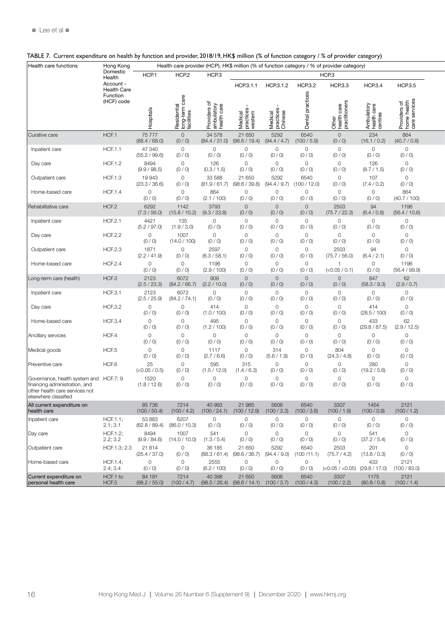| Health care functions                                  | Hong Kong                      |                         |                                        |                                           |                                               |                                 |                         | Health care provider (HCP), HK\$ million (% of function category / % of provider category) |                          |                                       |  |
|--------------------------------------------------------|--------------------------------|-------------------------|----------------------------------------|-------------------------------------------|-----------------------------------------------|---------------------------------|-------------------------|--------------------------------------------------------------------------------------------|--------------------------|---------------------------------------|--|
|                                                        | Domestic<br>Health             | HCP.1                   | HCP <sub>2</sub>                       | HCP <sub>3</sub>                          |                                               |                                 |                         | HCP <sub>3</sub>                                                                           |                          |                                       |  |
|                                                        | Account                        |                         |                                        |                                           | HCP.3.1.1                                     | HCP.3.1.2                       | <b>HCP.3.2</b>          | <b>HCP3.3</b>                                                                              | <b>HCP3.4</b>            | <b>HCP.3.5</b>                        |  |
|                                                        | <b>Health Care</b><br>Function |                         |                                        |                                           |                                               |                                 |                         |                                                                                            |                          |                                       |  |
|                                                        | (HCF) code                     |                         |                                        |                                           |                                               |                                 |                         |                                                                                            |                          |                                       |  |
|                                                        |                                |                         | Residential<br>long-term<br>facilities | Providers of<br>ambulatory<br>health care |                                               |                                 |                         | care<br>oner                                                                               | hulatory                 | lers of<br>health<br>ervices          |  |
|                                                        |                                | spitals                 |                                        |                                           | western                                       |                                 | tal                     |                                                                                            |                          |                                       |  |
|                                                        |                                |                         |                                        |                                           | Medical<br>practices                          | Medical<br>practices<br>Chinere |                         | Other<br>health<br>practi                                                                  | Ambui<br>health<br>***** | Providers<br>home heal<br>care servic |  |
| Curative care                                          | HCF.1                          | 75 777                  | $\overline{0}$                         | 34 578                                    | 21 650                                        | 5292                            | 6540                    | $\overline{0}$                                                                             | 234                      | 864                                   |  |
|                                                        |                                | (88.4 / 68.0)           | (0 / 0)                                | (84.4 / 31.0)                             | (98.6 / 19.4)                                 | (94.4 / 4.7)                    | (100/5.9)               | (0/0)                                                                                      | (16.1 / 0.2)             | (40.7 / 0.8)                          |  |
| Inpatient care                                         | <b>HCF.1.1</b>                 | 47 340                  | $\circ$                                | $\Omega$                                  | $\circ$                                       | $\overline{0}$                  | $\circ$                 | $\circ$                                                                                    | $\overline{0}$           | $\circ$                               |  |
|                                                        |                                | (55.2 / 99.6)           | (0/0)                                  | (0/0)                                     | (0 / 0)                                       | (0/0)                           | (0/0)                   | (0 / 0)                                                                                    | (0/0)                    | (0/0)                                 |  |
| Day care                                               | <b>HCF.1.2</b>                 | 8494<br>(9.9 / 98.5)    | $\overline{0}$<br>(0/0)                | 126<br>(0.3 / 1.5)                        | $\circ$<br>(0/0)                              | $\overline{0}$<br>(0/0)         | $\circ$<br>(0/0)        | $\circ$<br>(0/0)                                                                           | 126<br>(8.7 / 1.5)       | $\overline{0}$<br>(0 / 0)             |  |
| Outpatient care                                        | <b>HCF.1.3</b>                 | 19943                   | $\circ$                                | 33 588                                    | 21 650                                        | 5292                            | 6540                    | $\circ$                                                                                    | 107                      | $\circ$                               |  |
|                                                        |                                | (23.3 / 36.6)           | (0/0)                                  | (81.9 / 61.7)                             | (98.6 / 39.8)                                 | (94.4 / 9.7)                    | 100/12.0                | (0/0)                                                                                      | (7.4/0.2)                | (0 / 0)                               |  |
| Home-based care                                        | <b>HCF.1.4</b>                 | $\overline{0}$          | $\circ$                                | 864                                       | $\circ$                                       | $\overline{0}$                  | $\circ$                 | $\circ$                                                                                    | $\overline{0}$           | 864                                   |  |
|                                                        |                                | (0/0)                   | (0/0)                                  | (2.1 / 100)                               | (0/0)                                         | (0/0)                           | (0/0)                   | (0/0)                                                                                      | (0/0)                    | (40.7 / 100)                          |  |
| Rehabilitative care                                    | HCF.2                          | 6292                    | 1142                                   | 3793                                      | $\overline{0}$                                | $\overline{0}$                  | $\circ$                 | 2503                                                                                       | 94                       | 1196                                  |  |
|                                                        |                                | (7.3 / 56.0)            | (15.8 / 10.2)                          | (9.3 / 33.8)                              | (0/0)                                         | (0/0)                           | (0/0)                   | (75.7 / 22.3)                                                                              | (6.4 / 0.8)              | (56.4 / 10.6)                         |  |
| Inpatient care                                         | <b>HCF.2.1</b>                 | 4421<br>(5.2 / 97.0)    | 135<br>(1.9 / 3.0)                     | $\circ$<br>(0/0)                          | $\circ$<br>(0/0)                              | $\overline{0}$<br>(0/0)         | $\circ$<br>(0/0)        | $\circ$<br>(0/0)                                                                           | $\circ$<br>(0/0)         | $\circ$<br>(0 / 0)                    |  |
| Day care                                               | <b>HCF.2.2</b>                 | $\overline{0}$          | 1007                                   | $\circ$                                   | $\circ$                                       | $\overline{0}$                  | $\circ$                 | $\circ$                                                                                    | $\circ$                  | $\circ$                               |  |
|                                                        |                                | (0/0)                   | (14.0 / 100)                           | (0/0)                                     | (0/0)                                         | (0/0)                           | (0/0)                   | (0 / 0)                                                                                    | (0/0)                    | (0/0)                                 |  |
| Outpatient care                                        | <b>HCF.2.3</b>                 | 1871                    | $\circ$                                | 2597                                      | $\overline{0}$                                | $\overline{0}$                  | $\circ$                 | 2503                                                                                       | 94                       | $\circ$                               |  |
|                                                        |                                | (2.2 / 41.9)            | (0/0)                                  | (6.3 / 58.1)                              | (0/0)                                         | (0/0)                           | (0/0)                   | (75.7 / 56.0)                                                                              | (6.4 / 2.1)              | (0/0)                                 |  |
| Home-based care                                        | <b>HCF.2.4</b>                 | $\overline{0}$          | $\circ$                                | 1196                                      | $\circ$                                       | $\overline{0}$                  | $\circ$                 |                                                                                            | $\circ$                  | 1196                                  |  |
|                                                        |                                | (0 / 0)                 | (0/0)                                  | (2.9 / 100)                               | (0/0)                                         | (0/0)                           | (0/0)                   | (<0.05 / 0.1)                                                                              | (0/0)                    | (56.4 / 99.9)                         |  |
| Long-term care (health)                                | HCF.3                          | 2123                    | 6072                                   | 909                                       | $\circ$                                       | $\overline{0}$                  | $\circ$                 | $\circ$                                                                                    | 847                      | 62                                    |  |
|                                                        |                                | (2.5 / 23.3)            | (84.2 / 66.7)                          | (2.2 / 10.0)                              | (0/0)                                         | (0/0)                           | (0/0)                   | (0/0)                                                                                      | (58.3 / 9.3)             | (2.9 / 0.7)                           |  |
| Inpatient care                                         | <b>HCF.3.1</b>                 | 2123<br>(2.5 / 25.9)    | 6072<br>(84.2 / 74.1)                  | $\circ$<br>(0/0)                          | $\overline{0}$<br>(0/0)                       | $\overline{0}$<br>(0/0)         | $\circ$<br>(0/0)        | $\circ$<br>(0 / 0)                                                                         | $\overline{0}$<br>(0/0)  | $\circ$<br>(0/0)                      |  |
| Day care                                               | <b>HCF.3.2</b>                 | $\overline{0}$          | $\circ$                                | 414                                       | $\circ$                                       | $\overline{0}$                  | $\circ$                 | $\circ$                                                                                    | 414                      | $\circ$                               |  |
|                                                        |                                | (0/0)                   | (0 / 0)                                | (1.0 / 100)                               | (0/0)                                         | (0/0)                           | (0/0)                   | (0/0)                                                                                      | (28.5 / 100)             | (0/0)                                 |  |
| Home-based care                                        | <b>HCF.3.4</b>                 | $\overline{0}$          | $\circ$                                | 495                                       | $\circ$                                       | $\overline{0}$                  | $\circ$                 | $\circ$                                                                                    | 433                      | 62                                    |  |
|                                                        |                                | (0/0)                   | (0/0)                                  | (1.2 / 100)                               | (0/0)                                         | (0/0)                           | (0/0)                   | (0/0)                                                                                      | (29.8 / 87.5)            | (2.9 / 12.5)                          |  |
| Ancillary services                                     | HCF.4                          | $\overline{0}$          | $\circ$                                | $\circ$                                   | $\circ$                                       | $\overline{0}$                  | $\circ$                 | $\circ$                                                                                    | $\circ$                  | $\circ$                               |  |
|                                                        |                                | (0/0)                   | (0/0)                                  | (0/0)                                     | (0/0)                                         | (0/0)                           | (0/0)                   | (0 / 0)                                                                                    | (0/0)                    | (0 / 0)                               |  |
| Medical goods                                          | HCF.5                          | $\overline{0}$<br>(0/0) | $\circ$<br>(0/0)                       | 1117<br>(2.7/6.6)                         | $\circ$<br>(0/0)                              | 314<br>(5.6 / 1.9)              | $\circ$<br>(0/0)        | 804<br>(24.3 / 4.8)                                                                        | $\circ$<br>(0/0)         | $\circ$<br>(0 / 0)                    |  |
| Preventive care                                        | HCF.6                          | 25                      | $\circ$                                | 595                                       | 315                                           | $\overline{0}$                  | $\circ$                 | $\circ$                                                                                    | 280                      | $\circ$                               |  |
|                                                        |                                | (<0.05 / 0.5)           | (0 / 0)                                | (1.5 / 12.0)                              | (1.4/6.3)                                     | (0/0)                           | (0/0)                   | (0/0)                                                                                      | (19.2 / 5.6)             | (0/0)                                 |  |
| Governance, health system and HCF.7; 9                 |                                | 1520                    | $\circ$                                | $\circ$                                   | $\circ$                                       | $\overline{0}$                  | $\circ$                 | $\overline{0}$                                                                             | $\circ$                  | $\circ$                               |  |
| financing administration, and                          |                                | (1.8 / 12.6)            | (0/0)                                  | (0/0)                                     | (0/0)                                         | (0/0)                           | (0/0)                   | (0 / 0)                                                                                    | (0/0)                    | (0/0)                                 |  |
| other health care services not<br>elsewhere classified |                                |                         |                                        |                                           |                                               |                                 |                         |                                                                                            |                          |                                       |  |
| All current expenditure on                             |                                | 85736                   | 7214                                   | 40 993                                    | 21 965                                        | 5606                            | 6540                    | 3307                                                                                       | 1454                     | 2121                                  |  |
| health care                                            |                                | (100 / 50.4)            | (100 / 4.2)                            | (100 / 24.1)                              | (100 / 12.9)                                  | (100 / 3.3)                     | (100 / 3.8)             | (100 / 1.9)                                                                                | (100/0.9)                | (100 / 1.2)                           |  |
| Inpatient care                                         | HCF.1.1;                       | 53 883                  | 6207                                   | $\circ$                                   | $\circ$                                       | $\overline{0}$                  | $\circ$                 | $\overline{0}$                                                                             | $\overline{0}$           | $\overline{0}$                        |  |
|                                                        | 2.1; 3.1                       | (62.8 / 89.4)           | (86.0 / 10.3)                          | (0/0)                                     | (0/0)                                         | (0/0)                           | (0/0)                   | (0/0)                                                                                      | (0/0)                    | (0 / 0)                               |  |
| Day care                                               | HCF.1.2;<br>2.2; 3.2           | 8494<br>(9.9 / 84.6)    | 1007<br>(14.0 / 10.0)                  | 541<br>(1.3 / 5.4)                        | $\Omega$<br>(0/0)                             | $\overline{0}$<br>(0/0)         | $\overline{0}$<br>(0/0) | $\circ$                                                                                    | 541<br>(37.2 / 5.4)      | $\circ$<br>(0/0)                      |  |
|                                                        |                                | 21 814                  | $\overline{0}$                         |                                           |                                               | 5292                            | 6540                    | (0/0)<br>2503                                                                              |                          | $\overline{0}$                        |  |
| Outpatient care                                        | HCF.1.3; 2.3                   | (25.4 / 37.0)           | (0 / 0)                                | 36 185<br>(88.3 / 61.4)                   | 21 650<br>(98.6 / 36.7)                       | (94.4 / 9.0)                    | (100 / 11.1)            | (75.7 / 4.2)                                                                               | 201<br>(13.8 / 0.3)      | (0/0)                                 |  |
| Home-based care                                        | HCF.1.4;                       | $\circ$                 | $\circ$                                | 2555                                      | $\circ$                                       | $\overline{0}$                  | $\circ$                 |                                                                                            | 433                      | 2121                                  |  |
|                                                        | 2.4; 3.4                       | (0/0)                   | (0 / 0)                                | (6.2 / 100)                               | (0/0)                                         | (0/0)                           | (0/0)                   | (<0.05 / <0.05) (29.8 / 17.0)                                                              |                          | (100 / 83.0)                          |  |
| Current expenditure on                                 | HCF.1 to                       | 84 191                  | 7214                                   | 40 398                                    | 21 650                                        | 5606                            | 6540                    | 3307                                                                                       | 1175                     | 2121                                  |  |
| personal health care                                   | HCF.5                          | (98.2 / 55.0)           | (100 / 4.7)                            |                                           | $(98.5 / 26.4)$ $(98.6 / 14.1)$ $(100 / 3.7)$ |                                 | (100 / 4.3)             | (100 / 2.2)                                                                                | (80.8 / 0.8)             | (100 / 1.4)                           |  |

#### TABLE 7. Current expenditure on health by function and provider, 2018/19, HK\$ million (% of function category / % of provider category)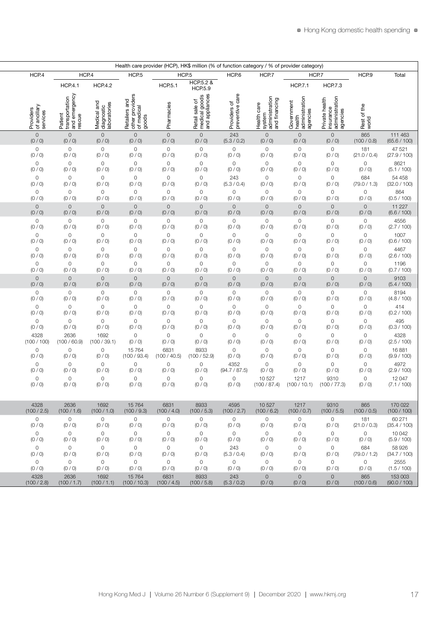| Health care provider (HCP), HK\$ million (% of function category / % of provider category) |                                                      |                                           |                                                         |                |                                                   |                                 |                                                          |                                        |                                                           |                      |              |
|--------------------------------------------------------------------------------------------|------------------------------------------------------|-------------------------------------------|---------------------------------------------------------|----------------|---------------------------------------------------|---------------------------------|----------------------------------------------------------|----------------------------------------|-----------------------------------------------------------|----------------------|--------------|
| HCP.4                                                                                      |                                                      | HCP.4                                     | HCP <sub>5</sub>                                        |                | HCP <sub>.5</sub>                                 | HCP.6                           | HCP.7                                                    |                                        | HCP.7                                                     | HCP.9                | Total        |
|                                                                                            | <b>HCP.4.1</b>                                       | <b>HCP.4.2</b>                            |                                                         | <b>HCP.5.1</b> | HCP.5.2 &<br><b>HCP.5.9</b>                       |                                 |                                                          | <b>HCP.7.1</b>                         | <b>HCP.7.3</b>                                            |                      |              |
|                                                                                            | Patient<br>transportation<br>and emergency<br>rescue |                                           | Retailers and<br>other providers<br>of medical<br>goods |                | Retail sale of<br>medical goods<br>and appliances | Providers of<br>preventive care | Health care<br>system<br>administration<br>and financing | Government<br>health<br>administration | Private health<br>insurance<br>administration<br>agencies |                      |              |
|                                                                                            |                                                      |                                           |                                                         |                |                                                   |                                 |                                                          |                                        |                                                           |                      |              |
| Providers<br>of ancillary<br>services                                                      |                                                      | Medical and<br>diagnostic<br>laboratories |                                                         | Pharmacies     |                                                   |                                 |                                                          | agencies                               |                                                           | Rest of the<br>world |              |
| $\circ$                                                                                    | $\circ$                                              | $\circ$                                   | $\circ$                                                 | $\overline{0}$ | $\circ$                                           | 243                             | $\overline{0}$                                           | $\circ$                                | $\circ$                                                   | 865                  | 111 463      |
| (0/0)                                                                                      | (0/0)                                                | (0/0)                                     | (0/0)                                                   | (0/0)          | (0 / 0)                                           | (5.3 / 0.2)                     | (0 / 0)                                                  | (0/0)                                  | (0/0)                                                     | (100 / 0.8)          | (65.6 / 100) |
| $\circ$                                                                                    | $\circ$                                              | $\circ$                                   | $\circ$                                                 | $\circ$        | $\circ$                                           | $\circ$                         | $\circ$                                                  | $\overline{0}$                         | $\circ$                                                   | 181                  | 47 521       |
| (0 / 0)                                                                                    | (0/0)                                                | (0/0)                                     | (0/0)                                                   | (0 / 0)        | (0/0)                                             | (0/0)                           | (0 / 0)                                                  | (0 / 0)                                | (0 / 0)                                                   | (21.0 / 0.4)         | (27.9 / 100) |
| $\circ$                                                                                    | $\circ$                                              | $\circ$                                   | $\circ$                                                 | $\circ$        | $\circ$                                           | $\circ$                         | $\circ$                                                  | $\circ$                                | $\circ$                                                   | $\circ$              | 8621         |
| (0/0)                                                                                      | (0 / 0)                                              | (0 / 0)                                   | (0/0)                                                   | (0 / 0)        | (0/0)                                             | (0 / 0)                         | (0 / 0)                                                  | (0/0)                                  | (0 / 0)                                                   | (0 / 0)              | (5.1 / 100)  |
| $\circ$                                                                                    | $\circ$                                              | $\circ$                                   | $\circ$                                                 | $\circ$        | $\circ$                                           | 243                             | $\circ$                                                  | $\circ$                                | $\circ$                                                   | 684                  | 54 458       |
| (0/0)                                                                                      | (0/0)                                                | (0/0)                                     | (0/0)                                                   | (0/0)          | (0/0)                                             | (5.3 / 0.4)                     | (0 / 0)                                                  | (0/0)                                  | (0 / 0)                                                   | (79.0 / 1.3)         | (32.0 / 100) |
| $\circ$                                                                                    | $\circ$                                              | $\circ$                                   | $\circ$                                                 | $\circ$        | $\circ$                                           | $\circ$                         | $\circ$                                                  | $\circ$                                | $\circ$                                                   | $\circ$              | 864          |
| (0 / 0)                                                                                    | (0 / 0)                                              | (0 / 0)                                   | (0/0)                                                   | (0 / 0)        | (0/0)                                             | (0/0)                           | (0 / 0)                                                  | (0/0)                                  | (0 / 0)                                                   | (0/0)                | (0.5 / 100)  |
| $\circ$                                                                                    | $\circ$                                              | $\circ$                                   | $\overline{0}$                                          | $\circ$        | $\circ$                                           | $\circ$                         | $\overline{0}$                                           | $\overline{0}$                         | $\circ$                                                   | $\circ$              | 11 2 27      |
| (0/0)                                                                                      | (0/0)                                                | (0/0)                                     | (0/0)                                                   | (0/0)          | (0/0)                                             | (0/0)                           | (0 / 0)                                                  | (0/0)                                  | (0/0)                                                     | (0 / 0)              | (6.6 / 100)  |
| $\circ$                                                                                    | $\circ$                                              | $\circ$                                   | $\circ$                                                 | $\circ$        | $\circ$                                           | $\circ$                         | $\circ$                                                  | $\circ$                                | $\circ$                                                   | $\circ$              | 4556         |
| (0 / 0)                                                                                    | (0 / 0)                                              | (0/0)                                     | (0/0)                                                   | (0 / 0)        | (0/0)                                             | (0/0)                           | (0 / 0)                                                  | (0/0)                                  | (0 / 0)                                                   | (0 / 0)              | (2.7 / 100)  |
| $\circ$                                                                                    | $\circ$                                              | $\circ$                                   | $\circ$                                                 | $\circ$        | $\circ$                                           | $\circ$                         | $\circ$                                                  | $\circ$                                | $\circ$                                                   | $\circ$              | 1007         |
| (0/0)                                                                                      | (0 / 0)                                              | (0 / 0)                                   | (0/0)                                                   | (0/0)          | (0 / 0)                                           | (0 / 0)                         | (0 / 0)                                                  | (0/0)                                  | (0 / 0)                                                   | (0 / 0)              | (0.6 / 100)  |
| $\circ$                                                                                    | $\circ$                                              | $\circ$                                   | $\circ$                                                 | $\circ$        | $\circ$                                           | $\circ$                         | $\circ$                                                  | $\circ$                                | $\circ$                                                   | $\circ$              | 4467         |
| (0/0)                                                                                      | (0 / 0)                                              | (0/0)                                     | (0/0)                                                   | (0/0)          | (0/0)                                             | (0/0)                           | (0 / 0)                                                  | (0/0)                                  | (0/0)                                                     | (0 / 0)              | (2.6 / 100)  |
| $\circ$                                                                                    | $\circ$                                              | $\circ$                                   | $\circ$                                                 | $\circ$        | $\circ$                                           | $\circ$                         | $\circ$                                                  | $\circ$                                | $\circ$                                                   | $\circ$              | 1196         |
| (0 / 0)                                                                                    | (0 / 0)                                              | (0 / 0)                                   | (0/0)                                                   | (0 / 0)        | (0 / 0)                                           | (0 / 0)                         | (0 / 0)                                                  | (0/0)                                  | (0 / 0)                                                   | (0 / 0)              | (0.7 / 100)  |
| $\circ$                                                                                    | $\circ$                                              | $\circ$                                   | $\circ$                                                 | $\circ$        | $\circ$                                           | $\circ$                         | $\overline{0}$                                           | $\overline{0}$                         | $\circ$                                                   | $\circ$              | 9103         |
| (0/0)                                                                                      | (0/0)                                                | (0/0)                                     | (0/0)                                                   | (0/0)          | (0 / 0)                                           | (0/0)                           | (0 / 0)                                                  | (0/0)                                  | (0/0)                                                     | (0 / 0)              | (5.4 / 100)  |
| $\circ$                                                                                    | $\circ$                                              | $\circ$                                   | $\circ$                                                 | $\circ$        | $\circ$                                           | $\overline{0}$                  | $\overline{0}$                                           | $\overline{0}$                         | $\circ$                                                   | $\overline{O}$       | 8194         |
| (0 / 0)                                                                                    | (0 / 0)                                              | (0 / 0)                                   | (0/0)                                                   | (0 / 0)        | (0/0)                                             | (0/0)                           | (0 / 0)                                                  | (0/0)                                  | (0 / 0)                                                   | (0 / 0)              | (4.8 / 100)  |
| $\circ$                                                                                    | $\circ$                                              | $\mathsf{O}\xspace$                       | $\circ$                                                 | $\circ$        | $\circ$                                           | $\circ$                         | $\circ$                                                  | $\circ$                                | $\circ$                                                   | $\circ$              | 414          |
| (0/0)                                                                                      | (0 / 0)                                              | (0 / 0)                                   | (0/0)                                                   | (0/0)          | (0 / 0)                                           | (0 / 0)                         | (0 / 0)                                                  | (0/0)                                  | (0 / 0)                                                   | (0/0)                | (0.2 / 100)  |
| $\circ$                                                                                    | $\circ$                                              | $\circ$                                   | $\circ$                                                 | $\circ$        | $\circ$                                           | $\circ$                         | $\circ$                                                  | $\mathbf 0$                            | $\circ$                                                   | $\circ$              | 495          |
| (0/0)                                                                                      | (0 / 0)                                              | (0/0)                                     | (0/0)                                                   | (0/0)          | (0/0)                                             | (0 / 0)                         | (0 / 0)                                                  | (0 / 0)                                | (0/0)                                                     | (0 / 0)              | (0.3 / 100)  |
| 4328                                                                                       | 2636                                                 | 1692                                      | $\circ$                                                 | $\circ$        | $\circ$                                           | $\circ$                         | $\circ$                                                  | $\circ$                                | $\circ$                                                   | $\circ$              | 4328         |
| (100 / 100)                                                                                | (100 / 60.9)                                         | (100 / 39.1)                              | (0/0)                                                   | (0 / 0)        | (0/0)                                             | (0 / 0)                         | (0 / 0)                                                  | (0/0)                                  | (0 / 0)                                                   | (0/0)                | (2.5 / 100)  |
| $\circ$                                                                                    | $\circ$                                              | $\circ$                                   | 15764                                                   | 6831           | 8933                                              | $\circ$                         | $\circ$                                                  | $\circ$                                | $\circ$                                                   | $\circ$              | 16881        |
| (0/0)                                                                                      | (0/0)                                                | (0/0)                                     | (100 / 93.4)                                            | (100 / 40.5)   | 100 / 52.9)                                       | (0/0)                           | (0 / 0)                                                  | (0 / 0)                                | (0 / 0)                                                   | (0 / 0)              | (9.9 / 100)  |
| $\overline{O}$                                                                             | $\circ$                                              | $\mathsf{O}$                              | $\overline{0}$                                          | $\circ$        | $\circ$                                           | 4352                            | $\circ$                                                  | $\overline{0}$                         | $\circ$                                                   | $\circ$              | 4972         |
| (0/0)                                                                                      | (0 / 0)                                              | (0/0)                                     | (0/0)                                                   | (0 / 0)        | (0 / 0)                                           | (94.7 / 87.5)                   | (0 / 0)                                                  | (0/0)                                  | (0 / 0)                                                   | (0 / 0)              | (2.9 / 100)  |
| $\circ$                                                                                    | $\circ$                                              | $\circ$                                   | $\circ$                                                 | $\circ$        | $\circ$                                           | $\circ$                         | 10 527                                                   | 1217                                   | 9310                                                      | $\circ$              | 12047        |
| (0/0)                                                                                      | (0 / 0)                                              | (0/0)                                     | (0/0)                                                   | (0 / 0)        | (0/0)                                             | (0/0)                           | (100 / 87.4)                                             | (100 / 10.1)                           | (100 / 77.3)                                              | (0 / 0)              | (7.1 / 100)  |
|                                                                                            |                                                      |                                           |                                                         |                |                                                   |                                 |                                                          |                                        |                                                           |                      |              |
| 4328                                                                                       | 2636                                                 | 1692                                      | 15764                                                   | 6831           | 8933                                              | 4595                            | 10 527                                                   | 1217                                   | 9310                                                      | 865                  | 170 022      |
| (100 / 2.5)                                                                                | (100 / 1.6)                                          | (100 / 1.0)                               | (100 / 9.3)                                             | (100 / 4.0)    | (100 / 5.3)                                       | (100 / 2.7)                     | (100/6.2)                                                | (100/0.7)                              | (100 / 5.5)                                               | (100/0.5)            | (100 / 100)  |
| $\circ$                                                                                    | $\overline{O}$                                       | $\circ$                                   | $\overline{0}$                                          | $\overline{0}$ | $\overline{0}$                                    | $\circ$                         | $\circ$                                                  | $\overline{0}$                         | $\overline{O}$                                            | 181                  | 60 271       |
| (0 / 0)                                                                                    | (0 / 0)                                              | (0/0)                                     | (0/0)                                                   | (0 / 0)        | (0 / 0)                                           | (0 / 0)                         | (0/0)                                                    | (0/0)                                  | (0/0)                                                     | (21.0 / 0.3)         | (35.4 / 100) |
| $\circ$                                                                                    | $\circ$                                              | $\circ$                                   | $\circ$                                                 | $\circ$        | $\circ$                                           | $\circ$                         | $\circ$                                                  | $\overline{0}$                         | $\overline{O}$                                            | $\overline{O}$       | 10042        |
| (0/0)                                                                                      | (0/0)                                                | (0/0)                                     | (0/0)                                                   | (0/0)          | (0/0)                                             | (0/0)                           | (0/0)                                                    | (0/0)                                  | (0/0)                                                     | (0/0)                | (5.9 / 100)  |
| $\circ$                                                                                    | $\circ$                                              | $\circ$                                   | $\circ$                                                 | $\overline{0}$ | $\overline{O}$                                    | 243                             | $\circ$                                                  | $\overline{0}$                         | $\overline{O}$                                            | 684                  | 58 9 26      |
| (0/0)                                                                                      | (0/0)                                                | (0/0)                                     | (0/0)                                                   | (0/0)          | (0/0)                                             | (5.3 / 0.4)                     | (0/0)                                                    | (0/0)                                  | (0/0)                                                     | (79.0 / 1.2)         | (34.7 / 100) |
| $\circ$                                                                                    | $\circ$                                              | $\circ$                                   | $\circ$                                                 | $\overline{0}$ | $\overline{0}$                                    | $\circ$                         | $\circ$                                                  | $\circ$                                | $\overline{0}$                                            | $\overline{O}$       | 2555         |
| (0/0)                                                                                      | (0/0)                                                | (0/0)                                     | (0/0)                                                   | (0/0)          | (0/0)                                             | (0/0)                           | (0/0)                                                    | (0/0)                                  | (0/0)                                                     | (0/0)                | (1.5 / 100)  |
| 4328                                                                                       | 2636                                                 | 1692                                      | 15764                                                   | 6831           | 8933                                              | 243                             | $\circ$                                                  | $\circ$                                | $\overline{0}$                                            | 865                  | 153 003      |
| (100 / 2.8)                                                                                | (100 / 1.7)                                          | (100/1.1)                                 | (100 / 10.3)                                            | (100 / 4.5)    | (100 / 5.8)                                       | (5.3 / 0.2)                     | (0/0)                                                    | (0/0)                                  | (0/0)                                                     | (100/0.6)            | (90.0 / 100) |
|                                                                                            |                                                      |                                           |                                                         |                |                                                   |                                 |                                                          |                                        |                                                           |                      |              |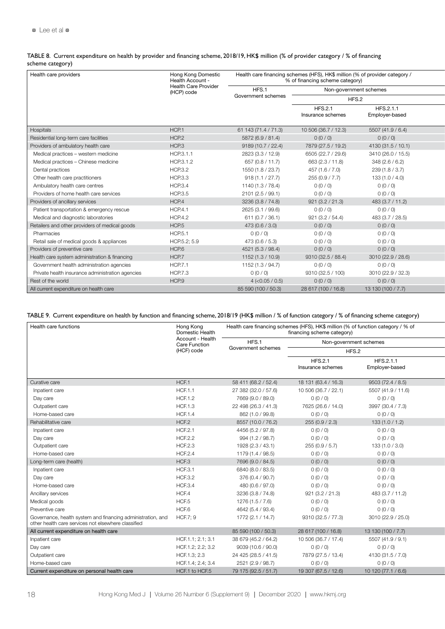TABLE 8. Current expenditure on health by provider and financing scheme, 2018/19, HK\$ million (% of provider category / % of financing scheme category)

| Health care providers                            | Hong Kong Domestic<br>Health Account -    |                      | Health care financing schemes (HFS), HK\$ million (% of provider category /<br>% of financing scheme category) |                             |  |
|--------------------------------------------------|-------------------------------------------|----------------------|----------------------------------------------------------------------------------------------------------------|-----------------------------|--|
|                                                  | <b>Health Care Provider</b><br>(HCP) code | HFS.1                |                                                                                                                | Non-government schemes      |  |
|                                                  |                                           | Government schemes   |                                                                                                                | HFS.2                       |  |
|                                                  |                                           |                      | <b>HFS.2.1</b><br>Insurance schemes                                                                            | HFS.2.1.1<br>Employer-based |  |
| Hospitals                                        | HCP.1                                     | 61 143 (71.4 / 71.3) | 10 506 (36.7 / 12.3)                                                                                           | 5507 (41.9 / 6.4)           |  |
| Residential long-term care facilities            | HCP <sub>2</sub>                          | 5872 (6.9 / 81.4)    | 0(0/0)                                                                                                         | 0(0/0)                      |  |
| Providers of ambulatory health care              | HCP.3                                     | 9189 (10.7 / 22.4)   | 7879 (27.5 / 19.2)                                                                                             | 4130 (31.5 / 10.1)          |  |
| Medical practices - western medicine             | HCP.3.1.1                                 | 2823 (3.3 / 12.9)    | 6505 (22.7 / 29.6)                                                                                             | 3410 (26.0 / 15.5)          |  |
| Medical practices - Chinese medicine             | HCP.3.1.2                                 | 657 (0.8 / 11.7)     | 663 (2.3 / 11.8)                                                                                               | 348(2.6/6.2)                |  |
| Dental practices                                 | <b>HCP.3.2</b>                            | 1550 (1.8 / 23.7)    | 457 (1.6 / 7.0)                                                                                                | 239 (1.8 / 3.7)             |  |
| Other health care practitioners                  | <b>HCP.3.3</b>                            | 918(1.1 / 27.7)      | 255 (0.9 / 7.7)                                                                                                | 133(1.0 / 4.0)              |  |
| Ambulatory health care centres                   | <b>HCP.3.4</b>                            | 1140 (1.3 / 78.4)    | 0(0/0)                                                                                                         | 0(0/0)                      |  |
| Providers of home health care services           | <b>HCP.3.5</b>                            | 2101 (2.5 / 99.1)    | 0(0/0)                                                                                                         | 0(0/0)                      |  |
| Providers of ancillary services                  | HCP.4                                     | 3236 (3.8 / 74.8)    | 921(3.2 / 21.3)                                                                                                | 483 (3.7 / 11.2)            |  |
| Patient transportation & emergency rescue        | <b>HCP.4.1</b>                            | 2625 (3.1 / 99.6)    | 0(0/0)                                                                                                         | 0(0/0)                      |  |
| Medical and diagnostic laboratories              | <b>HCP.4.2</b>                            | 611(0.7 / 36.1)      | 921(3.2 / 54.4)                                                                                                | 483 (3.7 / 28.5)            |  |
| Retailers and other providers of medical goods   | HCP <sub>5</sub>                          | 473 (0.6 / 3.0)      | 0(0/0)                                                                                                         | 0(0/0)                      |  |
| Pharmacies                                       | <b>HCP.5.1</b>                            | 0(0/0)               | 0(0/0)                                                                                                         | 0(0/0)                      |  |
| Retail sale of medical goods & appliances        | HCP.5.2; 5.9                              | 473 (0.6 / 5.3)      | 0(0/0)                                                                                                         | 0(0/0)                      |  |
| Providers of preventive care                     | HCP.6                                     | 4521 (5.3 / 98.4)    | 0(0/0)                                                                                                         | 0(0/0)                      |  |
| Health care system administration & financing    | HCP.7                                     | 1152 (1.3 / 10.9)    | 9310 (32.5 / 88.4)                                                                                             | 3010 (22.9 / 28.6)          |  |
| Government health administration agencies        | <b>HCP.7.1</b>                            | 1152 (1.3 / 94.7)    | 0(0/0)                                                                                                         | 0(0/0)                      |  |
| Private health insurance administration agencies | <b>HCP.7.3</b>                            | 0(0/0)               | 9310 (32.5 / 100)                                                                                              | 3010 (22.9 / 32.3)          |  |
| Rest of the world                                | HCP.9                                     | $4$ (<0.05 / 0.5)    | 0(0/0)                                                                                                         | 0(0/0)                      |  |
| All current expenditure on health care           |                                           | 85 590 (100 / 50.3)  | 28 617 (100 / 16.8)                                                                                            | 13 130 (100 / 7.7)          |  |

### TABLE 9. Current expenditure on health by function and financing scheme, 2018/19 (HK\$ million / % of function category / % of financing scheme category)

| Health care functions                                                                                              | Hong Kong<br>Domestic Health             |                      | Health care financing schemes (HFS), HK\$ million (% of function category / % of<br>financing scheme category) |                             |  |
|--------------------------------------------------------------------------------------------------------------------|------------------------------------------|----------------------|----------------------------------------------------------------------------------------------------------------|-----------------------------|--|
|                                                                                                                    | Account - Health<br><b>Care Function</b> | HFS.1                | Non-government schemes                                                                                         |                             |  |
|                                                                                                                    | (HCF) code                               | Government schemes   | HFS.2                                                                                                          |                             |  |
|                                                                                                                    |                                          |                      | <b>HFS.2.1</b><br>Insurance schemes                                                                            | HFS.2.1.1<br>Employer-based |  |
| Curative care                                                                                                      | HCF.1                                    | 58 411 (68.2 / 52.4) | 18 131 (63.4 / 16.3)                                                                                           | 9503 (72.4 / 8.5)           |  |
| Inpatient care                                                                                                     | <b>HCF.1.1</b>                           | 27 382 (32.0 / 57.6) | 10 506 (36.7 / 22.1)                                                                                           | 5507 (41.9 / 11.6)          |  |
| Day care                                                                                                           | <b>HCF.1.2</b>                           | 7669 (9.0 / 89.0)    | 0(0/0)                                                                                                         | 0(0/0)                      |  |
| Outpatient care                                                                                                    | <b>HCF.1.3</b>                           | 22 498 (26.3 / 41.3) | 7625 (26.6 / 14.0)                                                                                             | 3997 (30.4 / 7.3)           |  |
| Home-based care                                                                                                    | <b>HCF.1.4</b>                           | 862 (1.0 / 99.8)     | 0(0/0)                                                                                                         | 0(0/0)                      |  |
| Rehabilitative care                                                                                                | HCF.2                                    | 8557 (10.0 / 76.2)   | 255 (0.9 / 2.3)                                                                                                | 133(1.0/1.2)                |  |
| Inpatient care                                                                                                     | <b>HCF.2.1</b>                           | 4456 (5.2 / 97.8)    | 0(0/0)                                                                                                         | 0(0/0)                      |  |
| Day care                                                                                                           | <b>HCF.2.2</b>                           | 994 (1.2 / 98.7)     | 0(0/0)                                                                                                         | 0(0/0)                      |  |
| Outpatient care                                                                                                    | <b>HCF.2.3</b>                           | 1928 (2.3 / 43.1)    | 255 (0.9 / 5.7)                                                                                                | 133 (1.0 / 3.0)             |  |
| Home-based care                                                                                                    | <b>HCF.2.4</b>                           | 1179 (1.4 / 98.5)    | 0(0/0)                                                                                                         | 0(0/0)                      |  |
| Long-term care (health)                                                                                            | HCF.3                                    | 7696 (9.0 / 84.5)    | 0(0/0)                                                                                                         | 0(0/0)                      |  |
| Inpatient care                                                                                                     | <b>HCF.3.1</b>                           | 6840 (8.0 / 83.5)    | 0(0/0)                                                                                                         | 0(0/0)                      |  |
| Day care                                                                                                           | <b>HCF.3.2</b>                           | 376 (0.4 / 90.7)     | 0(0/0)                                                                                                         | 0(0/0)                      |  |
| Home-based care                                                                                                    | <b>HCF.3.4</b>                           | 480 (0.6 / 97.0)     | 0(0/0)                                                                                                         | 0(0/0)                      |  |
| Ancillary services                                                                                                 | HCF.4                                    | 3236 (3.8 / 74.8)    | 921(3.2 / 21.3)                                                                                                | 483 (3.7 / 11.2)            |  |
| Medical goods                                                                                                      | HCF.5                                    | 1276 (1.5 / 7.6)     | 0(0/0)                                                                                                         | 0(0/0)                      |  |
| Preventive care                                                                                                    | HCF.6                                    | 4642 (5.4 / 93.4)    | 0(0/0)                                                                                                         | 0(0/0)                      |  |
| Governance, health system and financing administration, and<br>other health care services not elsewhere classified | <b>HCF.7; 9</b>                          | 1772 (2.1 / 14.7)    | 9310 (32.5 / 77.3)                                                                                             | 3010 (22.9 / 25.0)          |  |
| All current expenditure on health care                                                                             |                                          | 85 590 (100 / 50.3)  | 28 617 (100 / 16.8)                                                                                            | 13 130 (100 / 7.7)          |  |
| Inpatient care                                                                                                     | HCF.1.1; 2.1; 3.1                        | 38 679 (45.2 / 64.2) | 10 506 (36.7 / 17.4)                                                                                           | 5507 (41.9 / 9.1)           |  |
| Day care                                                                                                           | HCF.1.2; 2.2; 3.2                        | 9039 (10.6 / 90.0)   | 0(0/0)                                                                                                         | 0(0/0)                      |  |
| Outpatient care                                                                                                    | HCF.1.3; 2.3                             | 24 425 (28.5 / 41.5) | 7879 (27.5 / 13.4)                                                                                             | 4130 (31.5 / 7.0)           |  |
| Home-based care                                                                                                    | HCF.1.4; 2.4; 3.4                        | 2521 (2.9 / 98.7)    | 0(0/0)                                                                                                         | 0(0/0)                      |  |
| Current expenditure on personal health care                                                                        | HCF.1 to HCF.5                           | 79 175 (92.5 / 51.7) | 19 307 (67.5 / 12.6)                                                                                           | 10 120 (77.1 / 6.6)         |  |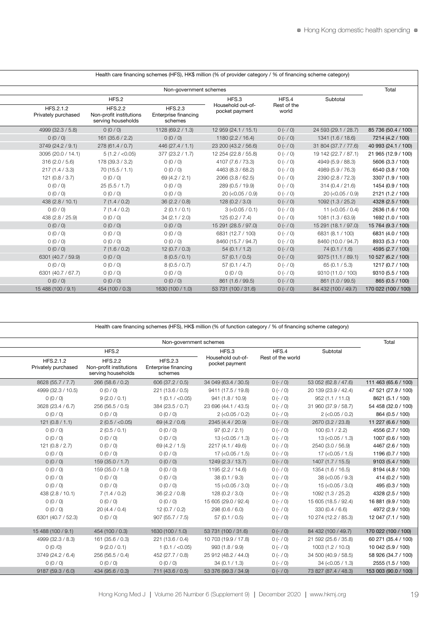٦

|                                  |                                                                 |                                                   | Health care imancing schemes (HFS), HK\$ million (% of provider category / % of imancing scheme category) |                      |                      |                     |
|----------------------------------|-----------------------------------------------------------------|---------------------------------------------------|-----------------------------------------------------------------------------------------------------------|----------------------|----------------------|---------------------|
|                                  |                                                                 | Non-government schemes                            |                                                                                                           |                      |                      | Total               |
|                                  | HFS.2                                                           |                                                   | HFS.3                                                                                                     | HFS.4                | Subtotal             |                     |
| HFS.2.1.2<br>Privately purchased | <b>HFS.2.2</b><br>Non-profit institutions<br>serving households | <b>HFS.2.3</b><br>Enterprise financing<br>schemes | Household out-of-<br>pocket payment                                                                       | Rest of the<br>world |                      |                     |
| 4999 (32.3 / 5.8)                | 0(0/0)                                                          | 1128 (69.2 / 1.3)                                 | 12 959 (24.1 / 15.1)                                                                                      | $0 (- / 0)$          | 24 593 (29.1 / 28.7) | 85 736 (50.4 / 100) |
| 0(0/0)                           | 161 (35.6 / 2.2)                                                | 0(0/0)                                            | 1180 (2.2 / 16.4)                                                                                         | $0 (- / 0)$          | 1341 (1.6 / 18.6)    | 7214 (4.2 / 100)    |
| 3749 (24.2 / 9.1)                | 278 (61.4 / 0.7)                                                | 446(27.4 / 1.1)                                   | 23 200 (43.2 / 56.6)                                                                                      | $0 (- / 0)$          | 31 804 (37.7 / 77.6) | 40 993 (24.1 / 100) |
| 3095 (20.0 / 14.1)               | 5(1.2 / < 0.05)                                                 | 377 (23.2 / 1.7)                                  | 12 254 (22.8 / 55.8)                                                                                      | $0 (- / 0)$          | 19 142 (22.7 / 87.1) | 21 965 (12.9 / 100) |
| 316(2.0 / 5.6)                   | 178 (39.3 / 3.2)                                                | 0(0/0)                                            | 4107 (7.6 / 73.3)                                                                                         | $0 (- / 0)$          | 4949 (5.9 / 88.3)    | 5606 (3.3 / 100)    |
| 217(1.4/3.3)                     | 70(15.5 / 1.1)                                                  | 0(0/0)                                            | 4463 (8.3 / 68.2)                                                                                         | $0 (- 0)$            | 4989 (5.9 / 76.3)    | 6540 (3.8 / 100)    |
| 121(0.8/3.7)                     | 0(0/0)                                                          | 69 (4.2 / 2.1)                                    | 2066 (3.8 / 62.5)                                                                                         | $0 (- 0)$            | 2390 (2.8 / 72.3)    | 3307 (1.9 / 100)    |
| 0(0/0)                           | 25(5.5/1.7)                                                     | 0(0/0)                                            | 289 (0.5 / 19.9)                                                                                          | $0 (- / 0)$          | 314(0.4 / 21.6)      | 1454 (0.9 / 100)    |
| 0(0/0)                           | 0(0/0)                                                          | 0(0/0)                                            | $20$ (<0.05 / 0.9)                                                                                        | $0 (- / 0)$          | $20$ (<0.05 / 0.9)   | 2121 (1.2 / 100)    |
| 438 (2.8 / 10.1)                 | 7(1.4/0.2)                                                      | 36(2.2/0.8)                                       | 128(0.2 / 3.0)                                                                                            | $0 (- 0)$            | 1092 (1.3 / 25.2)    | 4328 (2.5 / 100)    |
| 0(0/0)                           | 7(1.4/0.2)                                                      | 2(0.1/0.1)                                        | $3$ (<0.05 / 0.1)                                                                                         | $0 (- / 0)$          | 11 $(< 0.05 / 0.4)$  | 2636 (1.6 / 100)    |
| 438 (2.8 / 25.9)                 | 0(0/0)                                                          | 34(2.1 / 2.0)                                     | 125(0.2 / 7.4)                                                                                            | $0 (- / 0)$          | 1081 (1.3 / 63.9)    | 1692 (1.0 / 100)    |
| 0(0/0)                           | 0(0/0)                                                          | 0(0/0)                                            | 15 291 (28.5 / 97.0)                                                                                      | $0 (- 0)$            | 15 291 (18.1 / 97.0) | 15 764 (9.3 / 100)  |
| 0(0/0)                           | 0(0/0)                                                          | 0(0/0)                                            | 6831 (12.7 / 100)                                                                                         | $0 (- 0)$            | 6831 (8.1 / 100)     | 6831 (4.0 / 100)    |
| 0(0/0)                           | 0(0/0)                                                          | 0(0/0)                                            | 8460 (15.7 / 94.7)                                                                                        | $0 (- 0)$            | 8460 (10.0 / 94.7)   | 8933 (5.3 / 100)    |
| 0 (0 / 0)                        | 7(1.6/0.2)                                                      | 12(0.7/0.3)                                       | 54(0.1 / 1.2)                                                                                             | $0 (- / 0)$          | 74 (0.1 / 1.6)       | 4595 (2.7 / 100)    |
| 6301 (40.7 / 59.9)               | 0(0/0)                                                          | 8(0.5/0.1)                                        | 57(0.1/0.5)                                                                                               | $0 (- / 0)$          | 9375 (11.1 / 89.1)   | 10 527 (6.2 / 100)  |
| 0(0/0)                           | 0(0/0)                                                          | 8(0.5/0.7)                                        | 57(0.1 / 4.7)                                                                                             | $0 (- / 0)$          | 65 $(0.1 / 5.3)$     | 1217 (0.7 / 100)    |
| 6301 (40.7 / 67.7)               | 0(0/0)                                                          | 0(0/0)                                            | 0(0/0)                                                                                                    | $0 (- 0)$            | 9310 (11.0 / 100)    | 9310 (5.5 / 100)    |
| 0(0/0)                           | 0 (0 / 0)                                                       | 0 (0 / 0)                                         | 861 (1.6 / 99.5)                                                                                          | $0 (- 0)$            | 861 (1.0 / 99.5)     | 865 (0.5 / 100)     |
| 15 488 (100 / 9.1)               | 454 (100 / 0.3)                                                 | 1630 (100 / 1.0)                                  | 53 731 (100 / 31.6)                                                                                       | $0 (- 0)$            | 84 432 (100 / 49.7)  | 170 022 (100 / 100) |

Health care financing schemes (HFS), HK\$ million (% of provider category / % of financing scheme category)

Health care financing schemes (HFS), HK\$ million (% of function category / % of financing scheme category)

| Total                | Non-government schemes |                   |                                     |                                                   |                                                                 |                                  |
|----------------------|------------------------|-------------------|-------------------------------------|---------------------------------------------------|-----------------------------------------------------------------|----------------------------------|
|                      | Subtotal               | HFS.4             | HFS.3                               |                                                   | HFS.2                                                           |                                  |
|                      |                        | Rest of the world | Household out-of-<br>pocket payment | <b>HFS.2.3</b><br>Enterprise financing<br>schemes | <b>HFS.2.2</b><br>Non-profit institutions<br>serving households | HFS.2.1.2<br>Privately purchased |
| 111 463 (65.6 / 100) | 53 052 (62.8 / 47.6)   | $0 (- 0)$         | 34 049 (63.4 / 30.5)                | 606 (37.2 / 0.5)                                  | 266 (58.6 / 0.2)                                                | 8628 (55.7 / 7.7)                |
| 47 521 (27.9 / 100)  | 20 139 (23.9 / 42.4)   | $0 (- / 0)$       | 9411 (17.5 / 19.8)                  | 221 (13.6 / 0.5)                                  | 0(0/0)                                                          | 4999 (32.3 / 10.5)               |
| 8621 (5.1 / 100)     | 952 (1.1 / 11.0)       | $0 (- 0)$         | 941 (1.8 / 10.9)                    | 1(0.1 / < 0.05)                                   | 9(2.0/0.1)                                                      | 0(0/0)                           |
| 54 458 (32.0 / 100)  | 31 960 (37.9 / 58.7)   | $0 (- 0)$         | 23 696 (44.1 / 43.5)                | 384 (23.5 / 0.7)                                  | 256 (56.5 / 0.5)                                                | 3628 (23.4 / 6.7)                |
| 864 (0.5 / 100)      | $2$ (<0.05 / 0.2)      | $0 (- 0)$         | $2$ (<0.05 / 0.2)                   | 0(0/0)                                            | 0(0/0)                                                          | 0(0/0)                           |
| 11 227 (6.6 / 100)   | 2670 (3.2 / 23.8)      | $0 (- / 0)$       | 2345 (4.4 / 20.9)                   | 69 (4.2 / 0.6)                                    | 2(0.5 / < 0.05)                                                 | 121(0.8/1.1)                     |
| 4556 (2.7 / 100)     | 100(0.1 / 2.2)         | $0 (- 0)$         | 97(0.2 / 2.1)                       | 0(0/0)                                            | 2(0.5/0.1)                                                      | 0(0/0)                           |
| 1007 (0.6 / 100)     | $13 (-0.05 / 1.3)$     | $0 (- 0)$         | $13 (-0.05 / 1.3)$                  | 0(0/0)                                            | 0(0/0)                                                          | 0(0/0)                           |
| 4467 (2.6 / 100)     | 2540 (3.0 / 56.9)      | $0 (- 0)$         | 2217 (4.1 / 49.6)                   | 69 (4.2 / 1.5)                                    | 0(0/0)                                                          | 121(0.8/2.7)                     |
| 1196 (0.7 / 100)     | $17 (-0.05 / 1.5)$     | $0 (- / 0)$       | $17$ (<0.05 / 1.5)                  | 0(0/0)                                            | 0(0/0)                                                          | 0(0/0)                           |
| 9103 (5.4 / 100)     | 1407(1.7/15.5)         | $0 (- / 0)$       | 1249 (2.3 / 13.7)                   | 0(0/0)                                            | 159 (35.0 / 1.7)                                                | 0(0/0)                           |
| 8194 (4.8 / 100)     | 1354 (1.6 / 16.5)      | $0 (- 0)$         | 1195 (2.2 / 14.6)                   | 0(0/0)                                            | 159 (35.0 / 1.9)                                                | 0(0/0)                           |
| 414 (0.2 / 100)      | $38 (-0.05 / 9.3)$     | $0 (- 0)$         | 38(0.1 / 9.3)                       | 0(0/0)                                            | 0(0/0)                                                          | 0(0/0)                           |
| 495 (0.3 / 100)      | $15 (-0.05 / 3.0)$     | $0 (- 0)$         | 15 (< 0.05 / 3.0)                   | 0(0/0)                                            | 0(0/0)                                                          | 0(0/0)                           |
| 4328 (2.5 / 100)     | 1092 (1.3 / 25.2)      | $0 (- / 0)$       | 128(0.2 / 3.0)                      | 36(2.2 / 0.8)                                     | 7(1.4/0.2)                                                      | 438 (2.8 / 10.1)                 |
| 16 881 (9.9 / 100)   | 15 605 (18.5 / 92.4)   | $0 (- 0)$         | 15 605 (29.0 / 92.4)                | 0(0/0)                                            | 0(0/0)                                                          | 0(0/0)                           |
| 4972 (2.9 / 100)     | 330(0.4/6.6)           | $0 (- 0)$         | 298 (0.6 / 6.0)                     | 12(0.7/0.2)                                       | 20(4.4/0.4)                                                     | 0(0/0)                           |
| 12 047 (7.1 / 100)   | 10 274 (12.2 / 85.3)   | $0 (- 0)$         | 57(0.1/0.5)                         | 907(55.7 / 7.5)                                   | 0(0/0)                                                          | 6301 (40.7 / 52.3)               |
| 170 022 (100 / 100)  | 84 432 (100 / 49.7)    | $0 (- / 0)$       | 53 731 (100 / 31.6)                 | 1630 (100 / 1.0)                                  | 454 (100 / 0.3)                                                 | 15 488 (100 / 9.1)               |
| 60 271 (35.4 / 100)  | 21 592 (25.6 / 35.8)   | $0 (- 0)$         | 10 703 (19.9 / 17.8)                | 221 (13.6 / 0.4)                                  | 161 (35.6 / 0.3)                                                | 4999 (32.3 / 8.3)                |
| 10 042 (5.9 / 100)   | 1003 (1.2 / 10.0)      | $0 (- 0)$         | 993 (1.8 / 9.9)                     | 1(0.1 / < 0.05)                                   | 9(2.0/0.1)                                                      | O(O/O)                           |
| 58 926 (34.7 / 100)  | 34 500 (40.9 / 58.5)   | $0 (- 0)$         | 25 912 (48.2 / 44.0)                | 452 (27.7 / 0.8)                                  | 256 (56.5 / 0.4)                                                | 3749 (24.2 / 6.4)                |
| 2555 (1.5 / 100)     | $34 (-0.05 / 1.3)$     | $0 (- 0)$         | 34(0.1 / 1.3)                       | 0(0/0)                                            | 0(0/0)                                                          | 0(0/0)                           |
| 153 003 (90.0 / 100) | 73 827 (87.4 / 48.3)   | $0 (- 0)$         | 53 376 (99.3 / 34.9)                | 711 (43.6 / 0.5)                                  | 434 (95.6 / 0.3)                                                | 9187 (59.3 / 6.0)                |
|                      |                        |                   |                                     |                                                   |                                                                 |                                  |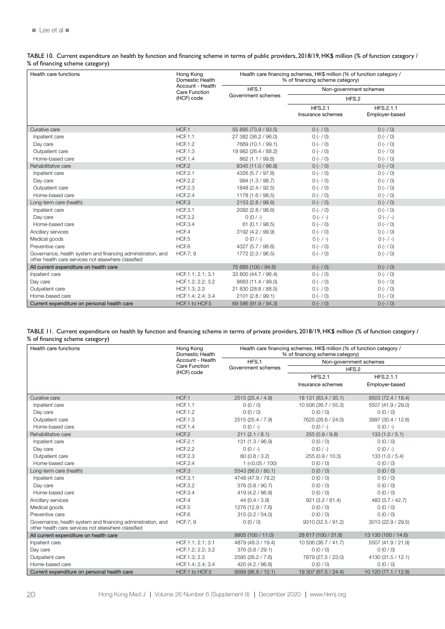TABLE 10. Current expenditure on health by function and financing scheme in terms of public providers, 2018/19, HK\$ million (% of function category / % of financing scheme category)

| Health care functions                                                                                              | Hong Kong<br>Domestic Health             |                      | Health care financing schemes, HK\$ million (% of function category /<br>% of financing scheme category) |                                     |                             |
|--------------------------------------------------------------------------------------------------------------------|------------------------------------------|----------------------|----------------------------------------------------------------------------------------------------------|-------------------------------------|-----------------------------|
|                                                                                                                    | Account - Health<br><b>Care Function</b> | HFS.1                | Non-government schemes                                                                                   |                                     |                             |
|                                                                                                                    | (HCF) code                               | Government schemes   | HFS.2                                                                                                    |                                     |                             |
|                                                                                                                    |                                          |                      |                                                                                                          | <b>HFS.2.1</b><br>Insurance schemes | HFS.2.1.1<br>Employer-based |
| Curative care                                                                                                      | HCF.1                                    | 55 895 (73.9 / 93.5) | $0 (- / 0)$                                                                                              | $0 (- / 0)$                         |                             |
| Inpatient care                                                                                                     | <b>HCF.1.1</b>                           | 27 382 (36.2 / 96.0) | $0 (- 0)$                                                                                                | $0 (- / 0)$                         |                             |
| Day care                                                                                                           | <b>HCF.1.2</b>                           | 7669 (10.1 / 99.1)   | $0 (- 0)$                                                                                                | $0 (- / 0)$                         |                             |
| Outpatient care                                                                                                    | <b>HCF.1.3</b>                           | 19 982 (26.4 / 88.2) | $0 (- 0)$                                                                                                | $0 (- / 0)$                         |                             |
| Home-based care                                                                                                    | <b>HCF.1.4</b>                           | 862 (1.1 / 99.8)     | $0 (- 0)$                                                                                                | $0 (- / 0)$                         |                             |
| Rehabilitative care                                                                                                | HCF.2                                    | 8345 (11.0 / 96.8)   | $0 (- / 0)$                                                                                              | $0 (- / 0)$                         |                             |
| Inpatient care                                                                                                     | <b>HCF.2.1</b>                           | 4326 (5.7 / 97.8)    | $0 (- / 0)$                                                                                              | $0 (- / 0)$                         |                             |
| Day care                                                                                                           | <b>HCF.2.2</b>                           | 994 (1.3 / 98.7)     | $0 (- 0)$                                                                                                | $0 (- / 0)$                         |                             |
| Outpatient care                                                                                                    | <b>HCF.2.3</b>                           | 1848 (2.4 / 92.5)    | $0 (- 0)$                                                                                                | $0 (- / 0)$                         |                             |
| Home-based care                                                                                                    | <b>HCF.2.4</b>                           | 1178 (1.6 / 98.5)    | $0 (- / 0)$                                                                                              | $0 (- / 0)$                         |                             |
| Long-term care (health)                                                                                            | HCF.3                                    | 2153 (2.8 / 98.6)    | $0 (- / 0)$                                                                                              | $0 (- / 0)$                         |                             |
| Inpatient care                                                                                                     | <b>HCF.3.1</b>                           | 2092 (2.8 / 98.6)    | $0 (- 0)$                                                                                                | $0 (- / 0)$                         |                             |
| Day care                                                                                                           | <b>HCF.3.2</b>                           | $0(0/-)$             | $O(-/-)$                                                                                                 | $O(-/-)$                            |                             |
| Home-based care                                                                                                    | <b>HCF.3.4</b>                           | 61 (0.1 / 98.5)      | $0 (- / 0)$                                                                                              | $0 (- / 0)$                         |                             |
| Ancillary services                                                                                                 | HCF.4                                    | 3192 (4.2 / 99.9)    | $0 (- / 0)$                                                                                              | $0 (- / 0)$                         |                             |
| Medical goods                                                                                                      | HCF.5                                    | $0(0/-)$             | $O(-/-)$                                                                                                 | $O(-/-)$                            |                             |
| Preventive care                                                                                                    | HCF.6                                    | 4327 (5.7 / 98.6)    | $0 (- 0)$                                                                                                | $0 (- / 0)$                         |                             |
| Governance, health system and financing administration, and<br>other health care services not elsewhere classified | <b>HCF.7: 9</b>                          | 1772 (2.3 / 96.5)    | $0 (- / 0)$                                                                                              | $0 (- / 0)$                         |                             |
| All current expenditure on health care                                                                             |                                          | 75 685 (100 / 94.6)  | $0 (- / 0)$                                                                                              | $0 (- / 0)$                         |                             |
| Inpatient care                                                                                                     | HCF.1.1; 2.1; 3.1                        | 33 800 (44.7 / 96.4) | $0 (- / 0)$                                                                                              | $0 (- / 0)$                         |                             |
| Day care                                                                                                           | HCF.1.2; 2.2; 3.2                        | 8663 (11.4 / 99.0)   | $0 (- / 0)$                                                                                              | $0 (- 0)$                           |                             |
| Outpatient care                                                                                                    | HCF.1.3; 2.3                             | 21 830 (28.8 / 88.5) | $0 (- 0)$                                                                                                | $0 (- / 0)$                         |                             |
| Home-based care                                                                                                    | HCF.1.4; 2.4; 3.4                        | 2101 (2.8 / 99.1)    | $0 (- / 0)$                                                                                              | $0 (- 0)$                           |                             |
| Current expenditure on personal health care                                                                        | HCF.1 to HCF.5                           | 69 586 (91.9 / 94.3) | $0 (- / 0)$                                                                                              | $0 (- / 0)$                         |                             |

| TABLE 11. Current expenditure on health by function and financing scheme in terms of private providers, 2018/19, HK\$ million (% of function category / |  |
|---------------------------------------------------------------------------------------------------------------------------------------------------------|--|
| % of financing scheme category)                                                                                                                         |  |

| Health care functions                                                                                              | Hong Kong<br>Domestic Health       |                    | Health care financing schemes, HK\$ million (% of function category /<br>% of financing scheme category) |                             |
|--------------------------------------------------------------------------------------------------------------------|------------------------------------|--------------------|----------------------------------------------------------------------------------------------------------|-----------------------------|
|                                                                                                                    | Account - Health                   | HFS.1              | Non-government schemes                                                                                   |                             |
|                                                                                                                    | <b>Care Function</b><br>(HCF) code | Government schemes | HFS.2                                                                                                    |                             |
|                                                                                                                    |                                    |                    | <b>HFS.2.1</b><br>Insurance schemes                                                                      | HFS.2.1.1<br>Employer-based |
|                                                                                                                    |                                    |                    |                                                                                                          |                             |
| Curative care                                                                                                      | HCF.1                              | 2515 (25.4 / 4.9)  | 18 131 (63.4 / 35.1)                                                                                     | 9503 (72.4 / 18.4)          |
| Inpatient care                                                                                                     | <b>HCF.1.1</b>                     | 0(0/0)             | 10 506 (36.7 / 55.3)                                                                                     | 5507 (41.9 / 29.0)          |
| Day care                                                                                                           | <b>HCF.1.2</b>                     | 0(0/0)             | 0(0/0)                                                                                                   | 0(0/0)                      |
| Outpatient care                                                                                                    | <b>HCF.1.3</b>                     | 2515 (25.4 / 7.9)  | 7625 (26.6 / 24.0)                                                                                       | 3997 (30.4 / 12.6)          |
| Home-based care                                                                                                    | <b>HCF.1.4</b>                     | $0(0/-)$           | $0(0/-)$                                                                                                 | $0(0/-)$                    |
| Rehabilitative care                                                                                                | HCF <sub>2</sub>                   | 211(2.1/8.1)       | 255 (0.9 / 9.8)                                                                                          | 133(1.0/5.1)                |
| Inpatient care                                                                                                     | HCF.2.                             | 131 (1.3 / 96.9)   | 0(0/0)                                                                                                   | 0(0/0)                      |
| Day care                                                                                                           | <b>HCF.2.2</b>                     | $0(0/-)$           | $0(0/-)$                                                                                                 | $0(0/-)$                    |
| Outpatient care                                                                                                    | <b>HCF.2.3</b>                     | 80(0.8/3.2)        | 255 (0.9 / 10.3)                                                                                         | 133(1.0/5.4)                |
| Home-based care                                                                                                    | <b>HCF.2.4</b>                     | $1$ (<0.05 / 100)  | 0(0/0)                                                                                                   | 0(0/0)                      |
| Long-term care (health)                                                                                            | HCF.3                              | 5543 (56.0 / 80.1) | 0(0/0)                                                                                                   | 0(0/0)                      |
| Inpatient care                                                                                                     | <b>HCF.3.1</b>                     | 4748 (47.9 / 78.2) | 0(0/0)                                                                                                   | 0(0/0)                      |
| Day care                                                                                                           | <b>HCF.3.2</b>                     | 376 (3.8 / 90.7)   | 0(0/0)                                                                                                   | 0(0/0)                      |
| Home-based care                                                                                                    | <b>HCF.3.4</b>                     | 419 (4.2 / 96.8)   | 0(0/0)                                                                                                   | 0(0/0)                      |
| Ancillary services                                                                                                 | HCF.4                              | 44(0.4/3.9)        | 921(3.2/81.4)                                                                                            | 483 (3.7 / 42.7)            |
| Medical goods                                                                                                      | HCF.5                              | 1276 (12.9 / 7.6)  | 0(0/0)                                                                                                   | 0(0/0)                      |
| Preventive care                                                                                                    | HCF.6                              | 315(3.2 / 54.0)    | 0(0/0)                                                                                                   | 0(0/0)                      |
| Governance, health system and financing administration, and<br>other health care services not elsewhere classified | <b>HCF.7: 9</b>                    | 0(0/0)             | 9310 (32.5 / 91.2)                                                                                       | 3010 (22.9 / 29.5)          |
| All current expenditure on health care                                                                             |                                    | 9905 (100 / 11.0)  | 28 617 (100 / 31.8)                                                                                      | 13 130 (100 / 14.6)         |
| Inpatient care                                                                                                     | HCF.1.1; 2.1; 3.1                  | 4879 (49.3 / 19.4) | 10 506 (36.7 / 41.7)                                                                                     | 5507 (41.9 / 21.9)          |
| Day care                                                                                                           | HCF.1.2; 2.2; 3.2                  | 376 (3.8 / 29.1)   | 0(0/0)                                                                                                   | 0(0/0)                      |
| Outpatient care                                                                                                    | HCF.1.3; 2.3                       | 2595 (26.2 / 7.6)  | 7879 (27.5 / 23.0)                                                                                       | 4130 (31.5 / 12.1)          |
| Home-based care                                                                                                    | HCF.1.4; 2.4; 3.4                  | 420 (4.2 / 96.8)   | 0(0/0)                                                                                                   | 0(0/0)                      |
| Current expenditure on personal health care                                                                        | HCF.1 to HCF.5                     | 9589 (96.8 / 12.1) | 19 307 (67.5 / 24.4)                                                                                     | 10 120 (77.1 / 12.8)        |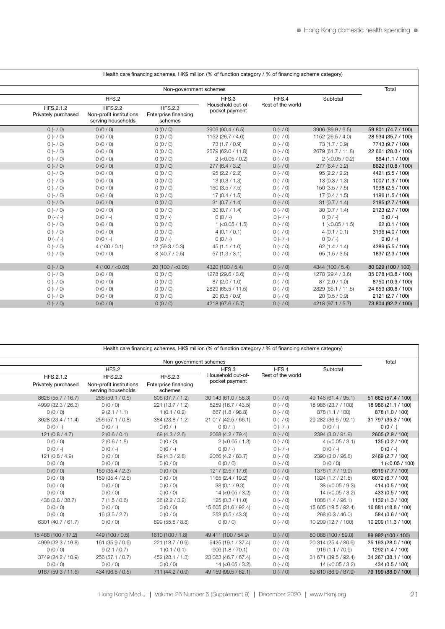|                                  |                                                                 | Health care financing schemes, HK\$ million (% of function category / % of financing scheme category) |                                     |                   |                    |                     |
|----------------------------------|-----------------------------------------------------------------|-------------------------------------------------------------------------------------------------------|-------------------------------------|-------------------|--------------------|---------------------|
|                                  |                                                                 | Non-government schemes                                                                                |                                     |                   |                    | Total               |
|                                  | HFS.2                                                           |                                                                                                       | HFS.3                               | HFS.4             | Subtotal           |                     |
| HFS.2.1.2<br>Privately purchased | <b>HFS.2.2</b><br>Non-profit institutions<br>serving households | <b>HFS.2.3</b><br>Enterprise financing<br>schemes                                                     | Household out-of-<br>pocket payment | Rest of the world |                    |                     |
| $0 (- / 0)$                      | 0(0/0)                                                          | 0(0/0)                                                                                                | 3906 (90.4 / 6.5)                   | $O(-/O)$          | 3906 (89.9 / 6.5)  | 59 801 (74.7 / 100) |
| $0 (- / 0)$                      | 0(0/0)                                                          | 0(0/0)                                                                                                | 1152 (26.7 / 4.0)                   | $0 (- / 0)$       | 1152 (26.5 / 4.0)  | 28 534 (35.7 / 100) |
| $0 (- 0)$                        | 0(0/0)                                                          | 0(0/0)                                                                                                | 73 (1.7 / 0.9)                      | $0 (- / 0)$       | 73 (1.7 / 0.9)     | 7743 (9.7 / 100)    |
| $0 (- 0)$                        | 0(0/0)                                                          | 0(0/0)                                                                                                | 2679 (62.0 / 11.8)                  | $0 (- 0)$         | 2679 (61.7 / 11.8) | 22 661 (28.3 / 100) |
| $0 (- 0)$                        | 0(0/0)                                                          | 0(0/0)                                                                                                | $2$ (<0.05 / 0.2)                   | $0 (- / 0)$       | $2$ (<0.05 / 0.2)  | 864 (1.1 / 100)     |
| $0 (- / 0)$                      | 0(0/0)                                                          | 0(0/0)                                                                                                | 277(6.4/3.2)                        | $O(-70)$          | 277(6.4/3.2)       | 8622 (10.8 / 100)   |
| $0 (- 0)$                        | 0(0/0)                                                          | 0 (0 / 0)                                                                                             | 95(2.2 / 2.2)                       | $0 (- / 0)$       | 95(2.2 / 2.2)      | 4421 (5.5 / 100)    |
| $0 (- 0)$                        | 0(0/0)                                                          | 0(0/0)                                                                                                | 13(0.3/1.3)                         | $0 (- / 0)$       | 13(0.3/1.3)        | 1007 (1.3 / 100)    |
| $0 (- 0)$                        | 0(0/0)                                                          | 0 (0 / 0)                                                                                             | 150(3.5 / 7.5)                      | $0 (- / 0)$       | 150(3.5 / 7.5)     | 1998 (2.5 / 100)    |
| $0 (- 0)$                        | 0(0/0)                                                          | 0(0/0)                                                                                                | 17(0.4/1.5)                         | $0 (- / 0)$       | 17(0.4/1.5)        | 1196 (1.5 / 100)    |
| $O(-/O)$                         | 0(0/0)                                                          | 0(0/0)                                                                                                | 31(0.7/1.4)                         | $0 (- / 0)$       | 31(0.7/1.4)        | 2185 (2.7 / 100)    |
| $O(-70)$                         | 0(0/0)                                                          | 0(0/0)                                                                                                | 30(0.7 / 1.4)                       | $0 (- / 0)$       | 30(0.7 / 1.4)      | 2123 (2.7 / 100)    |
| $0 (- / -)$                      | $0(0/-)$                                                        | $0(0/-)$                                                                                              | $0(0/-)$                            | $O(-/-)$          | $0(0/-)$           | $0(0/-)$            |
| $0 (- 0)$                        | 0(0/0)                                                          | 0(0/0)                                                                                                | $1$ (<0.05 / 1.5)                   | $0 (- 0)$         | $1$ (<0.05 / 1.5)  | 62 (0.1 / 100)      |
| $0 (- 0)$                        | 0(0/0)                                                          | 0(0/0)                                                                                                | 4(0.1/0.1)                          | $0 (- / 0)$       | 4(0.1/0.1)         | 3196 (4.0 / 100)    |
| $0 (- / -)$                      | $0(0/-)$                                                        | $0(0/-)$                                                                                              | $0(0/-)$                            | $O(-/-)$          | $0(0/-)$           | $0(0/-)$            |
| $0 (- / 0)$                      | 4(100/0.1)                                                      | 12(59.3/0.3)                                                                                          | 45(1.1 / 1.0)                       | $0 (- / 0)$       | 62 $(1.4 / 1.4)$   | 4389 (5.5 / 100)    |
| $0 (- 0)$                        | 0(0/0)                                                          | 8(40.7 / 0.5)                                                                                         | 57(1.3/3.1)                         | $0 (- / 0)$       | 65(1.5/3.5)        | 1837 (2.3 / 100)    |
| $O(-/O)$                         | 4(100 / < 0.05)                                                 | 20(100 / < 0.05)                                                                                      | 4320 (100 / 5.4)                    | $O(-/O)$          | 4344 (100 / 5.4)   | 80 029 (100 / 100)  |
| $0 (- / 0)$                      | 0(0/0)                                                          | 0(0/0)                                                                                                | 1278 (29.6 / 3.6)                   | $0 (- 0)$         | 1278 (29.4 / 3.6)  | 35 078 (43.8 / 100) |
| $0 (- / 0)$                      | 0(0/0)                                                          | 0(0/0)                                                                                                | 87 (2.0 / 1.0)                      | $0 (- / 0)$       | 87 (2.0 / 1.0)     | 8750 (10.9 / 100)   |
| $0 (- 0)$                        | 0(0/0)                                                          | 0(0/0)                                                                                                | 2829 (65.5 / 11.5)                  | $0 (- / 0)$       | 2829 (65.1 / 11.5) | 24 659 (30.8 / 100) |
| $0 (- 0)$                        | 0(0/0)                                                          | 0(0/0)                                                                                                | 20(0.5/0.9)                         | $0 (- / 0)$       | 20(0.5/0.9)        | 2121 (2.7 / 100)    |
| $0 (- 0)$                        | 0(0/0)                                                          | 0(0/0)                                                                                                | 4218 (97.6 / 5.7)                   | $0 (- / 0)$       | 4218 (97.1 / 5.7)  | 73 804 (92.2 / 100) |

Health care financing schemes, HK\$ million (% of function category / % of financing scheme category)

Health care financing schemes, HK\$ million (% of function category / % of financing scheme category)

|                                             | Non-government schemes |                      |                             |                         |                     |  |
|---------------------------------------------|------------------------|----------------------|-----------------------------|-------------------------|---------------------|--|
| Subtotal                                    | HFS.4                  | HFS.3                |                             | HFS.2                   |                     |  |
|                                             | Rest of the world      | Household out-of-    | <b>HFS.2.3</b>              | <b>HFS.2.2</b>          | HFS.2.1.2           |  |
|                                             |                        | pocket payment       | <b>Enterprise financing</b> | Non-profit institutions | Privately purchased |  |
|                                             |                        |                      | schemes                     | serving households      |                     |  |
| 51 662 (57.4 / 100)<br>49 146 (61.4 / 95.1) | $0 (- / 0)$            | 30 143 (61.0 / 58.3) | 606 (37.7 / 1.2)            | 266 (59.1 / 0.5)        | 8628 (55.7 / 16.7)  |  |
| 18 986 (21.1 / 100)<br>18 986 (23.7 / 100)  | $0 (- / 0)$            | 8259 (16.7 / 43.5)   | 221 (13.7 / 1.2)            | 0(0/0)                  | 4999 (32.3 / 26.3)  |  |
| 878 (1.0 / 100)<br>878 (1.1 / 100)          | $0 (- / 0)$            | 867 (1.8 / 98.8)     | 1(0.1/0.2)                  | 9(2.1 / 1.1)            | 0(0/0)              |  |
| 29 282 (36.6 / 92.1)<br>31 797 (35.3 / 100) | $0 (- / 0)$            | 21 017 (42.5 / 66.1) | 384 (23.8 / 1.2)            | 256 (57.1 / 0.8)        | 3628 (23.4 / 11.4)  |  |
| $0(0/-)$<br>$0(0/-)$                        | $0 (- / -)$            | $0(0/-)$             | $0(0/-)$                    | $0(0/-)$                | $0(0/-)$            |  |
| 2394 (3.0 / 91.9)<br>2605 (2.9 / 100)       | $0 (- / 0)$            | 2068 (4.2 / 79.4)    | 69 (4.3 / 2.6)              | 2(0.6/0.1)              | 121 $(0.8 / 4.7)$   |  |
| 135 (0.2 / 100)<br>$4$ ( $<$ 0.05 / 3.1)    | $0 (- / 0)$            | $2$ (<0.05 / 1.3)    | 0(0/0)                      | 2(0.6 / 1.8)            | 0(0/0)              |  |
| $O(O / -)$<br>$0(0/-)$                      | $0 (- / -)$            | $0(0/-)$             | $0(0/-)$                    | $0(0/-)$                | $0(0/-)$            |  |
| 2390 (3.0 / 96.8)<br>2469 (2.7 / 100)       | $0 (- / 0)$            | 2066 (4.2 / 83.7)    | 69 (4.3 / 2.8)              | 0(0/0)                  | 121(0.8/4.9)        |  |
| 0(0/0)<br>$1$ (<0.05 / 100)                 | $0 (- / 0)$            | 0(0/0)               | 0(0/0)                      | 0(0/0)                  | 0(0/0)              |  |
| 1376 (1.7 / 19.9)<br>6919 (7.7 / 100)       | $O(-/O)$               | 1217 (2.5 / 17.6)    | 0(0/0)                      | 159 (35.4 / 2.3)        | 0(0/0)              |  |
| 1324 (1.7 / 21.8)<br>6072 (6.7 / 100)       | $0 (- / 0)$            | 1165 (2.4 / 19.2)    | 0(0/0)                      | 159 (35.4 / 2.6)        | 0(0/0)              |  |
| $38 (-0.05 / 9.3)$<br>414 (0.5 / 100)       | $0 (- / 0)$            | 38(0.1/9.3)          | 0(0/0)                      | 0(0/0)                  | 0(0/0)              |  |
| $14 (-0.05 / 3.2)$<br>433 (0.5 / 100)       | $0 (- 0)$              | $14 (-0.05 / 3.2)$   | 0(0/0)                      | 0(0/0)                  | 0(0/0)              |  |
| 1132 (1.3 / 100)<br>1088 (1.4 / 96.1)       | $0 (- / 0)$            | 125 (0.3 / 11.0)     | 36(2.2 / 3.2)               | 7(1.5/0.6)              | 438 (2.8 / 38.7)    |  |
| 16 881 (18.8 / 100)<br>15 605 (19.5 / 92.4) | $0 (- 0)$              | 15 605 (31.6 / 92.4) | 0(0/0)                      | 0(0/0)                  | 0(0/0)              |  |
| 268 (0.3 / 46.0)<br>584 (0.6 / 100)         | $0 (- / 0)$            | 253 (0.5 / 43.3)     | 0(0/0)                      | 16(3.5 / 2.7)           | 0(0/0)              |  |
| 10 209 (11.3 / 100)<br>10 209 (12.7 / 100)  | $0 (- / 0)$            | 0(0/0)               | 899 (55.8 / 8.8)            | 0(0/0)                  | 6301 (40.7 / 61.7)  |  |
|                                             |                        |                      |                             |                         |                     |  |
| 80 088 (100 / 89.0)<br>89 992 (100 / 100)   | $0 (- / 0)$            | 49 411 (100 / 54.9)  | 1610 (100 / 1.8)            | 449 (100 / 0.5)         | 15 488 (100 / 17.2) |  |
| 20 314 (25.4 / 80.6)<br>25 193 (28.0 / 100) | $0 (- / 0)$            | 9425 (19.1 / 37.4)   | 221 (13.7 / 0.9)            | 161 (35.9 / 0.6)        | 4999 (32.3 / 19.8)  |  |
| 916 (1.1 / 70.9)<br>1292 (1.4 / 100)        | $0 (- 0)$              | 906 (1.8 / 70.1)     | 1(0.1/0.1)                  | 9(2.1/0.7)              | 0(0/0)              |  |
| 34 267 (38.1 / 100)<br>31 671 (39.5 / 92.4) | $0 (- / 0)$            | 23 083 (46.7 / 67.4) | 452 (28.1 / 1.3)            | 256 (57.1 / 0.7)        | 3749 (24.2 / 10.9)  |  |
| $14$ (<0.05 / 3.2)<br>434 (0.5 / 100)       | $0 (- 0)$              | $14 (-0.05 / 3.2)$   | 0(0/0)                      | 0(0/0)                  | 0(0/0)              |  |
| 79 199 (88.0 / 100)<br>69 610 (86.9 / 87.9) | $0 (- 0)$              | 49 159 (99.5 / 62.1) | 711 (44.2 / 0.9)            | 434 (96.5 / 0.5)        | 9187 (59.3 / 11.6)  |  |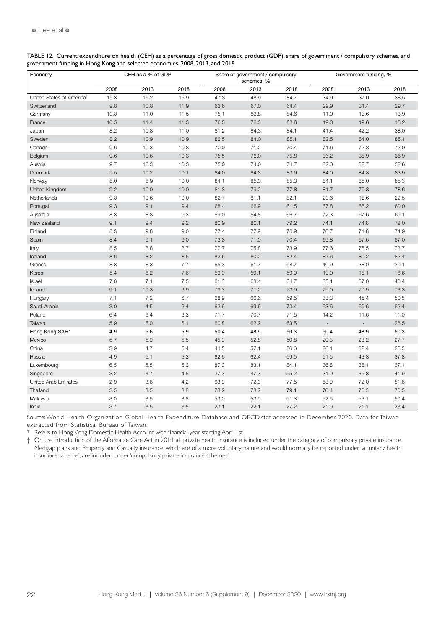| Economy                               |      | CEH as a % of GDP |         |      | Share of government / compulsory<br>Government funding, %<br>schemes, % |      |                          |                          |      |  |
|---------------------------------------|------|-------------------|---------|------|-------------------------------------------------------------------------|------|--------------------------|--------------------------|------|--|
|                                       | 2008 | 2013              | 2018    | 2008 | 2013                                                                    | 2018 | 2008                     | 2013                     | 2018 |  |
| United States of America <sup>t</sup> | 15.3 | 16.2              | 16.9    | 47.3 | 48.9                                                                    | 84.7 | 34.9                     | 37.0                     | 38.5 |  |
| Switzerland                           | 9.8  | 10.8              | 11.9    | 63.6 | 67.0                                                                    | 64.4 | 29.9                     | 31.4                     | 29.7 |  |
| Germany                               | 10.3 | 11.0              | 11.5    | 75.1 | 83.8                                                                    | 84.6 | 11.9                     | 13.6                     | 13.9 |  |
| France                                | 10.5 | 11.4              | 11.3    | 76.5 | 76.3                                                                    | 83.6 | 19.3                     | 19.6                     | 18.2 |  |
| Japan                                 | 8.2  | 10.8              | 11.0    | 81.2 | 84.3                                                                    | 84.1 | 41.4                     | 42.2                     | 38.0 |  |
| Sweden                                | 8.2  | 10.9              | 10.9    | 82.5 | 84.0                                                                    | 85.1 | 82.5                     | 84.0                     | 85.1 |  |
| Canada                                | 9.6  | 10.3              | 10.8    | 70.0 | 71.2                                                                    | 70.4 | 71.6                     | 72.8                     | 72.0 |  |
| Belgium                               | 9.6  | 10.6              | 10.3    | 75.5 | 76.0                                                                    | 75.8 | 36.2                     | 38.9                     | 36.9 |  |
| Austria                               | 9.7  | 10.3              | 10.3    | 75.0 | 74.0                                                                    | 74.7 | 32.0                     | 32.7                     | 32.6 |  |
| Denmark                               | 9.5  | 10.2              | 10.1    | 84.0 | 84.3                                                                    | 83.9 | 84.0                     | 84.3                     | 83.9 |  |
| Norway                                | 8.0  | 8.9               | 10.0    | 84.1 | 85.0                                                                    | 85.3 | 84.1                     | 85.0                     | 85.3 |  |
| United Kingdom                        | 9.2  | 10.0              | 10.0    | 81.3 | 79.2                                                                    | 77.8 | 81.7                     | 79.8                     | 78.6 |  |
| Netherlands                           | 9.3  | 10.6              | 10.0    | 82.7 | 81.1                                                                    | 82.1 | 20.6                     | 18.6                     | 22.5 |  |
| Portugal                              | 9.3  | 9.1               | 9.4     | 68.4 | 66.9                                                                    | 61.5 | 67.8                     | 66.2                     | 60.0 |  |
| Australia                             | 8.3  | 8.8               | 9.3     | 69.0 | 64.8                                                                    | 66.7 | 72.3                     | 67.6                     | 69.1 |  |
| New Zealand                           | 9.1  | 9.4               | 9.2     | 80.9 | 80.1                                                                    | 79.2 | 74.1                     | 74.8                     | 72.0 |  |
| Finland                               | 8.3  | 9.8               | 9.0     | 77.4 | 77.9                                                                    | 76.9 | 70.7                     | 71.8                     | 74.9 |  |
| Spain                                 | 8.4  | 9.1               | 9.0     | 73.3 | 71.0                                                                    | 70.4 | 69.8                     | 67.6                     | 67.0 |  |
| Italy                                 | 8.5  | 8.8               | 8.7     | 77.7 | 75.8                                                                    | 73.9 | 77.6                     | 75.5                     | 73.7 |  |
| Iceland                               | 8.6  | 8.2               | 8.5     | 82.6 | 80.2                                                                    | 82.4 | 82.6                     | 80.2                     | 82.4 |  |
| Greece                                | 8.8  | 8.3               | 7.7     | 65.3 | 61.7                                                                    | 58.7 | 40.9                     | 38.0                     | 30.1 |  |
| Korea                                 | 5.4  | 6.2               | 7.6     | 59.0 | 59.1                                                                    | 59.9 | 19.0                     | 18.1                     | 16.6 |  |
| Israel                                | 7.0  | 7.1               | 7.5     | 61.3 | 63.4                                                                    | 64.7 | 35.1                     | 37.0                     | 40.4 |  |
| Ireland                               | 9.1  | 10.3              | 6.9     | 79.3 | 71.2                                                                    | 73.9 | 79.0                     | 70.9                     | 73.3 |  |
| Hungary                               | 7.1  | 7.2               | 6.7     | 68.9 | 66.6                                                                    | 69.5 | 33.3                     | 45.4                     | 50.5 |  |
| Saudi Arabia                          | 3.0  | 4.5               | 6.4     | 63.6 | 69.6                                                                    | 73.4 | 63.6                     | 69.6                     | 62.4 |  |
| Poland                                | 6.4  | 6.4               | 6.3     | 71.7 | 70.7                                                                    | 71.5 | 14.2                     | 11.6                     | 11.0 |  |
| Taiwan                                | 5.9  | 6.0               | 6.1     | 60.8 | 62.2                                                                    | 63.5 | $\overline{\phantom{a}}$ | $\overline{\phantom{a}}$ | 26.5 |  |
| Hong Kong SAR*                        | 4.9  | 5.6               | 5.9     | 50.4 | 48.9                                                                    | 50.3 | 50.4                     | 48.9                     | 50.3 |  |
| Mexico                                | 5.7  | 5.9               | 5.5     | 45.9 | 52.8                                                                    | 50.8 | 20.3                     | 23.2                     | 27.7 |  |
| China                                 | 3.9  | 4.7               | 5.4     | 44.5 | 57.1                                                                    | 56.6 | 26.1                     | 32.4                     | 28.5 |  |
| Russia                                | 4.9  | 5.1               | 5.3     | 62.6 | 62.4                                                                    | 59.5 | 51.5                     | 43.8                     | 37.8 |  |
| Luxembourg                            | 6.5  | 5.5               | 5.3     | 87.3 | 83.1                                                                    | 84.1 | 36.8                     | 36.1                     | 37.1 |  |
| Singapore                             | 3.2  | 3.7               | 4.5     | 37.3 | 47.3                                                                    | 55.2 | 31.0                     | 36.8                     | 41.9 |  |
| United Arab Emirates                  | 2.9  | 3.6               | 4.2     | 63.9 | 72.0                                                                    | 77.5 | 63.9                     | 72.0                     | 51.6 |  |
| Thailand                              | 3.5  | 3.5               | 3.8     | 78.2 | 78.2                                                                    | 79.1 | 70.4                     | 70.3                     | 70.5 |  |
| Malaysia                              | 3.0  | 3.5               | $3.8\,$ | 53.0 | 53.9                                                                    | 51.3 | 52.5                     | 53.1                     | 50.4 |  |
| India                                 | 3.7  | 3.5               | 3.5     | 23.1 | 22.1                                                                    | 27.2 | 21.9                     | 21.1                     | 23.4 |  |

TABLE 12. Current expenditure on health (CEH) as a percentage of gross domestic product (GDP), share of government / compulsory schemes, and government funding in Hong Kong and selected economies, 2008, 2013, and 2018

Source: World Health Organization Global Health Expenditure Database and OECD.stat accessed in December 2020. Data for Taiwan extracted from Statistical Bureau of Taiwan.

Refers to Hong Kong Domestic Health Account with financial year starting April 1st

† On the introduction of the Affordable Care Act in 2014, all private health insurance is included under the category of compulsory private insurance. Medigap plans and Property and Casualty insurance, which are of a more voluntary nature and would normally be reported under 'voluntary health insurance scheme', are included under 'compulsory private insurance schemes'.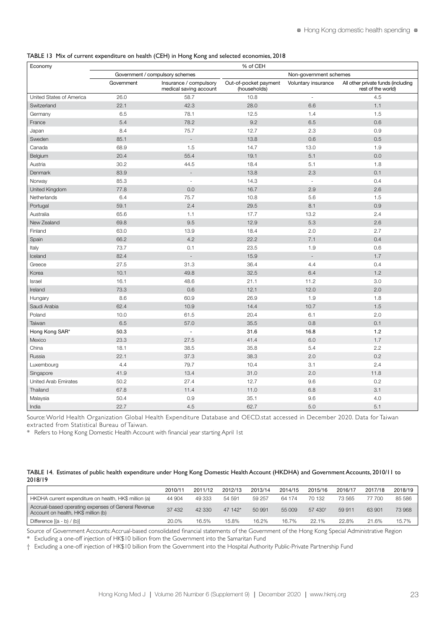|  |  | TABLE 13 Mix of current expenditure on health (CEH) in Hong Kong and selected economies, 2018 |
|--|--|-----------------------------------------------------------------------------------------------|
|--|--|-----------------------------------------------------------------------------------------------|

| Economy                  | % of CEH   |                                                  |                                       |                          |                                                          |  |  |  |  |  |  |
|--------------------------|------------|--------------------------------------------------|---------------------------------------|--------------------------|----------------------------------------------------------|--|--|--|--|--|--|
|                          |            | Government / compulsory schemes                  |                                       | Non-government schemes   |                                                          |  |  |  |  |  |  |
|                          | Government | Insurance / compulsory<br>medical saving account | Out-of-pocket payment<br>(households) | Voluntary insurance      | All other private funds (including<br>rest of the world) |  |  |  |  |  |  |
| United States of America | 26.0       | 58.7                                             | 10.8                                  | ÷,                       | 4.5                                                      |  |  |  |  |  |  |
| Switzerland              | 22.1       | 42.3                                             | 28.0                                  | 6.6                      | 1.1                                                      |  |  |  |  |  |  |
| Germany                  | 6.5        | 78.1                                             | 12.5                                  | 1.4                      | 1.5                                                      |  |  |  |  |  |  |
| France                   | 5.4        | 78.2                                             | 9.2                                   | 6.5                      | 0.6                                                      |  |  |  |  |  |  |
| Japan                    | 8.4        | 75.7                                             | 12.7                                  | 2.3                      | 0.9                                                      |  |  |  |  |  |  |
| Sweden                   | 85.1       | $\overline{a}$                                   | 13.8                                  | 0.6                      | 0.5                                                      |  |  |  |  |  |  |
| Canada                   | 68.9       | 1.5                                              | 14.7                                  | 13.0                     | 1.9                                                      |  |  |  |  |  |  |
| Belgium                  | 20.4       | 55.4                                             | 19.1                                  | 5.1                      | 0.0                                                      |  |  |  |  |  |  |
| Austria                  | 30.2       | 44.5                                             | 18.4                                  | 5.1                      | 1.8                                                      |  |  |  |  |  |  |
| Denmark                  | 83.9       | $\overline{\phantom{a}}$                         | 13.8                                  | 2.3                      | 0.1                                                      |  |  |  |  |  |  |
| Norway                   | 85.3       | ÷,                                               | 14.3                                  | $\bar{\phantom{a}}$      | 0.4                                                      |  |  |  |  |  |  |
| United Kingdom           | 77.8       | 0.0                                              | 16.7                                  | 2.9                      | 2.6                                                      |  |  |  |  |  |  |
| Netherlands              | 6.4        | 75.7                                             | 10.8                                  | 5.6                      | 1.5                                                      |  |  |  |  |  |  |
| Portugal                 | 59.1       | 2.4                                              | 29.5                                  | 8.1                      | 0.9                                                      |  |  |  |  |  |  |
| Australia                | 65.6       | 1.1                                              | 17.7                                  | 13.2                     | 2.4                                                      |  |  |  |  |  |  |
| New Zealand              | 69.8       | 9.5                                              | 12.9                                  | 5.3                      | 2.6                                                      |  |  |  |  |  |  |
| Finland                  | 63.0       | 13.9                                             | 18.4                                  | 2.0                      | 2.7                                                      |  |  |  |  |  |  |
| Spain                    | 66.2       | 4.2                                              | 22.2                                  | 7.1                      | 0.4                                                      |  |  |  |  |  |  |
| Italy                    | 73.7       | 0.1                                              | 23.5                                  | 1.9                      | 0.6                                                      |  |  |  |  |  |  |
| Iceland                  | 82.4       | $\overline{\phantom{a}}$                         | 15.9                                  | $\overline{\phantom{a}}$ | 1.7                                                      |  |  |  |  |  |  |
| Greece                   | 27.5       | 31.3                                             | 36.4                                  | 4.4                      | 0.4                                                      |  |  |  |  |  |  |
| Korea                    | 10.1       | 49.8                                             | 32.5                                  | 6.4                      | 1.2                                                      |  |  |  |  |  |  |
| Israel                   | 16.1       | 48.6                                             | 21.1                                  | 11.2                     | 3.0                                                      |  |  |  |  |  |  |
| Ireland                  | 73.3       | 0.6                                              | 12.1                                  | 12.0                     | 2.0                                                      |  |  |  |  |  |  |
| Hungary                  | 8.6        | 60.9                                             | 26.9                                  | 1.9                      | 1.8                                                      |  |  |  |  |  |  |
| Saudi Arabia             | 62.4       | 10.9                                             | 14.4                                  | 10.7                     | 1.5                                                      |  |  |  |  |  |  |
| Poland                   | 10.0       | 61.5                                             | 20.4                                  | 6.1                      | 2.0                                                      |  |  |  |  |  |  |
| Taiwan                   | 6.5        | 57.0                                             | 35.5                                  | 0.8                      | 0.1                                                      |  |  |  |  |  |  |
| Hong Kong SAR*           | 50.3       | L.                                               | 31.6                                  | 16.8                     | 1.2                                                      |  |  |  |  |  |  |
| Mexico                   | 23.3       | 27.5                                             | 41.4                                  | 6.0                      | 1.7                                                      |  |  |  |  |  |  |
| China                    | 18.1       | 38.5                                             | 35.8                                  | 5.4                      | 2.2                                                      |  |  |  |  |  |  |
| Russia                   | 22.1       | 37.3                                             | 38.3                                  | 2.0                      | 0.2                                                      |  |  |  |  |  |  |
| Luxembourg               | 4.4        | 79.7                                             | 10.4                                  | 3.1                      | 2.4                                                      |  |  |  |  |  |  |
| Singapore                | 41.9       | 13.4                                             | 31.0                                  | 2.0                      | 11.8                                                     |  |  |  |  |  |  |
| United Arab Emirates     | 50.2       | 27.4                                             | 12.7                                  | 9.6                      | 0.2                                                      |  |  |  |  |  |  |
| Thailand                 | 67.8       | 11.4                                             | 11.0                                  | 6.8                      | 3.1                                                      |  |  |  |  |  |  |
| Malaysia                 | 50.4       | 0.9                                              | 35.1                                  | 9.6                      | 4.0                                                      |  |  |  |  |  |  |
| India                    | 22.7       | 4.5                                              | 62.7                                  | 5.0                      | 5.1                                                      |  |  |  |  |  |  |

Source: World Health Organization Global Health Expenditure Database and OECD.stat accessed in December 2020. Data for Taiwan extracted from Statistical Bureau of Taiwan.

\* Refers to Hong Kong Domestic Health Account with financial year star ting April 1st

#### TABLE 14. Estimates of public health expenditure under Hong Kong Domestic Health Account (HKDHA) and Government Accounts, 2010/11 to 2018/19

|                                                                                            | 2010/11 | 2011/12 | 2012/13 | 2013/14 | 2014/15 | 2015/16             | 2016/17 | 2017/18 | 2018/19 |
|--------------------------------------------------------------------------------------------|---------|---------|---------|---------|---------|---------------------|---------|---------|---------|
| HKDHA current expenditure on health, HK\$ million (a)                                      | 44 904  | 49 333  | 54 591  | 59 257  | 64 174  | 70 132              | 73 565  | 77 700  | 85 586  |
| Accrual-based operating expenses of General Revenue<br>Account on health, HK\$ million (b) | 37 432  | 42 330  | 47 142* | 50 991  | 55 009  | 57 430 <sup>t</sup> | 59 911  | 63 901  | 73 968  |
| Difference $[(a - b) / (b)]$                                                               | 20.0%   | 16.5%   | 15.8%   | 16.2%   | 16.7%   | 22.1%               | 22.8%   | 21.6%   | 15.7%   |

Source of Government Accounts:Accrual-based consolidated financial statements of the Government of the Hong Kong Special Administrative Region

\* Excluding a one-off injection of HK\$10 billion from the Government into the Samaritan Fund

† Excluding a one-off injection of HK\$10 billion from the Government into the Hospital Authority Public-Private Partnership Fund